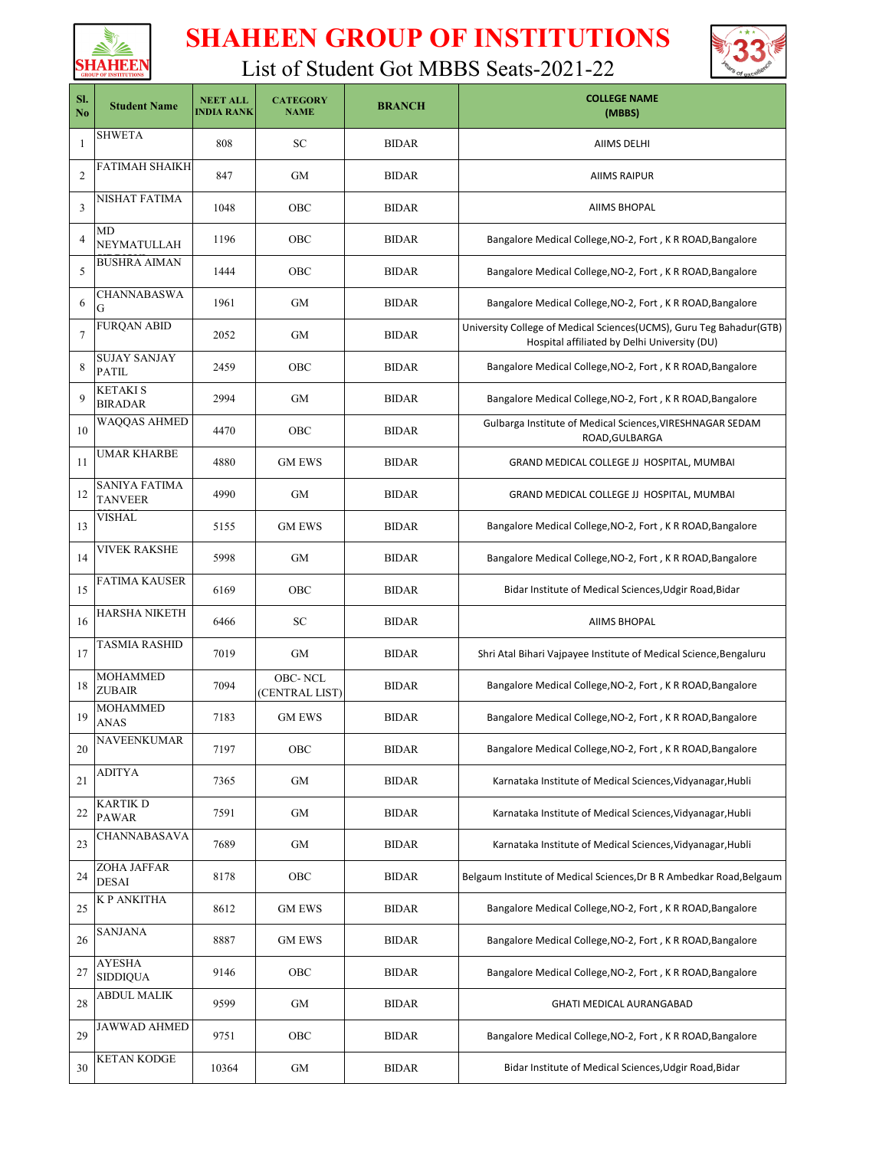



| SI.<br>No      | <b>Student Name</b>                    | <b>NEET ALL</b><br><b>INDIA RANK</b> | <b>CATEGORY</b><br><b>NAME</b>   | <b>BRANCH</b> | <b>COLLEGE NAME</b><br>(MBBS)                                                                                         |
|----------------|----------------------------------------|--------------------------------------|----------------------------------|---------------|-----------------------------------------------------------------------------------------------------------------------|
| 1              | <b>SHWETA</b>                          | 808                                  | <b>SC</b>                        | <b>BIDAR</b>  | <b>AIIMS DELHI</b>                                                                                                    |
| $\overline{2}$ | FATIMAH SHAIKH                         | 847                                  | GМ                               | <b>BIDAR</b>  | <b>AIIMS RAIPUR</b>                                                                                                   |
| $\overline{3}$ | NISHAT FATIMA                          | 1048                                 | OBC                              | <b>BIDAR</b>  | <b>AIIMS BHOPAL</b>                                                                                                   |
| 4              | MD<br>NEYMATULLAH                      | 1196                                 | OBC                              | <b>BIDAR</b>  | Bangalore Medical College, NO-2, Fort, K R ROAD, Bangalore                                                            |
| 5              | BUSHRA AIMAN                           | 1444                                 | OBC                              | <b>BIDAR</b>  | Bangalore Medical College, NO-2, Fort, KR ROAD, Bangalore                                                             |
| 6              | CHANNABASWA<br>G                       | 1961                                 | GМ                               | <b>BIDAR</b>  | Bangalore Medical College, NO-2, Fort, K R ROAD, Bangalore                                                            |
| $\tau$         | <b>FURQAN ABID</b>                     | 2052                                 | <b>GM</b>                        | <b>BIDAR</b>  | University College of Medical Sciences (UCMS), Guru Teg Bahadur (GTB)<br>Hospital affiliated by Delhi University (DU) |
| 8              | <b>SUJAY SANJAY</b><br><b>PATIL</b>    | 2459                                 | OBC                              | <b>BIDAR</b>  | Bangalore Medical College, NO-2, Fort, K R ROAD, Bangalore                                                            |
| 9              | KETAKI S<br><b>BIRADAR</b>             | 2994                                 | GМ                               | <b>BIDAR</b>  | Bangalore Medical College, NO-2, Fort, KR ROAD, Bangalore                                                             |
| 10             | WAQQAS AHMED                           | 4470                                 | OBC                              | <b>BIDAR</b>  | Gulbarga Institute of Medical Sciences, VIRESHNAGAR SEDAM<br>ROAD, GULBARGA                                           |
| 11             | <b>UMAR KHARBE</b>                     | 4880                                 | <b>GM EWS</b>                    | <b>BIDAR</b>  | GRAND MEDICAL COLLEGE JJ HOSPITAL, MUMBAI                                                                             |
| 12             | <b>SANIYA FATIMA</b><br><b>TANVEER</b> | 4990                                 | GМ                               | <b>BIDAR</b>  | GRAND MEDICAL COLLEGE JJ HOSPITAL, MUMBAI                                                                             |
| 13             | VISHAL                                 | 5155                                 | <b>GM EWS</b>                    | <b>BIDAR</b>  | Bangalore Medical College, NO-2, Fort, K R ROAD, Bangalore                                                            |
| 14             | <b>VIVEK RAKSHE</b>                    | 5998                                 | <b>GM</b>                        | <b>BIDAR</b>  | Bangalore Medical College, NO-2, Fort, K R ROAD, Bangalore                                                            |
| 15             | <b>FATIMA KAUSER</b>                   | 6169                                 | OBC                              | <b>BIDAR</b>  | Bidar Institute of Medical Sciences, Udgir Road, Bidar                                                                |
| 16             | HARSHA NIKETH                          | 6466                                 | <b>SC</b>                        | <b>BIDAR</b>  | <b>AIIMS BHOPAL</b>                                                                                                   |
| 17             | TASMIA RASHID                          | 7019                                 | <b>GM</b>                        | <b>BIDAR</b>  | Shri Atal Bihari Vajpayee Institute of Medical Science, Bengaluru                                                     |
| 18             | <b>MOHAMMED</b><br><b>ZUBAIR</b>       | 7094                                 | <b>OBC-NCL</b><br>(CENTRAL LIST) | <b>BIDAR</b>  | Bangalore Medical College, NO-2, Fort, K R ROAD, Bangalore                                                            |
| 19             | MOHAMMED<br>ANAS                       | 7183                                 | <b>GM EWS</b>                    | <b>BIDAR</b>  | Bangalore Medical College, NO-2, Fort, K R ROAD, Bangalore                                                            |
| 20             | <b>NAVEENKUMAR</b>                     | 7197                                 | OBC                              | <b>BIDAR</b>  | Bangalore Medical College, NO-2, Fort, K R ROAD, Bangalore                                                            |
| 21             | <b>ADITYA</b>                          | 7365                                 | GM                               | <b>BIDAR</b>  | Karnataka Institute of Medical Sciences, Vidyanagar, Hubli                                                            |
| 22             | <b>KARTIK D</b><br><b>PAWAR</b>        | 7591                                 | GM                               | <b>BIDAR</b>  | Karnataka Institute of Medical Sciences, Vidyanagar, Hubli                                                            |
| 23             | CHANNABASAVA                           | 7689                                 | GM                               | <b>BIDAR</b>  | Karnataka Institute of Medical Sciences, Vidyanagar, Hubli                                                            |
| 24             | ZOHA JAFFAR<br><b>DESAI</b>            | 8178                                 | OBC                              | <b>BIDAR</b>  | Belgaum Institute of Medical Sciences, Dr B R Ambedkar Road, Belgaum                                                  |
| 25             | <b>K P ANKITHA</b>                     | 8612                                 | <b>GM EWS</b>                    | <b>BIDAR</b>  | Bangalore Medical College, NO-2, Fort, K R ROAD, Bangalore                                                            |
| 26             | <b>SANJANA</b>                         | 8887                                 | <b>GM EWS</b>                    | <b>BIDAR</b>  | Bangalore Medical College, NO-2, Fort, K R ROAD, Bangalore                                                            |
| 27             | <b>AYESHA</b><br><b>SIDDIQUA</b>       | 9146                                 | OBC                              | <b>BIDAR</b>  | Bangalore Medical College, NO-2, Fort, KR ROAD, Bangalore                                                             |
| 28             | <b>ABDUL MALIK</b>                     | 9599                                 | <b>GM</b>                        | <b>BIDAR</b>  | <b>GHATI MEDICAL AURANGABAD</b>                                                                                       |
| 29             | <b>JAWWAD AHMED</b>                    | 9751                                 | OBC                              | <b>BIDAR</b>  | Bangalore Medical College, NO-2, Fort, K R ROAD, Bangalore                                                            |
| 30             | <b>KETAN KODGE</b>                     | 10364                                | GM                               | <b>BIDAR</b>  | Bidar Institute of Medical Sciences, Udgir Road, Bidar                                                                |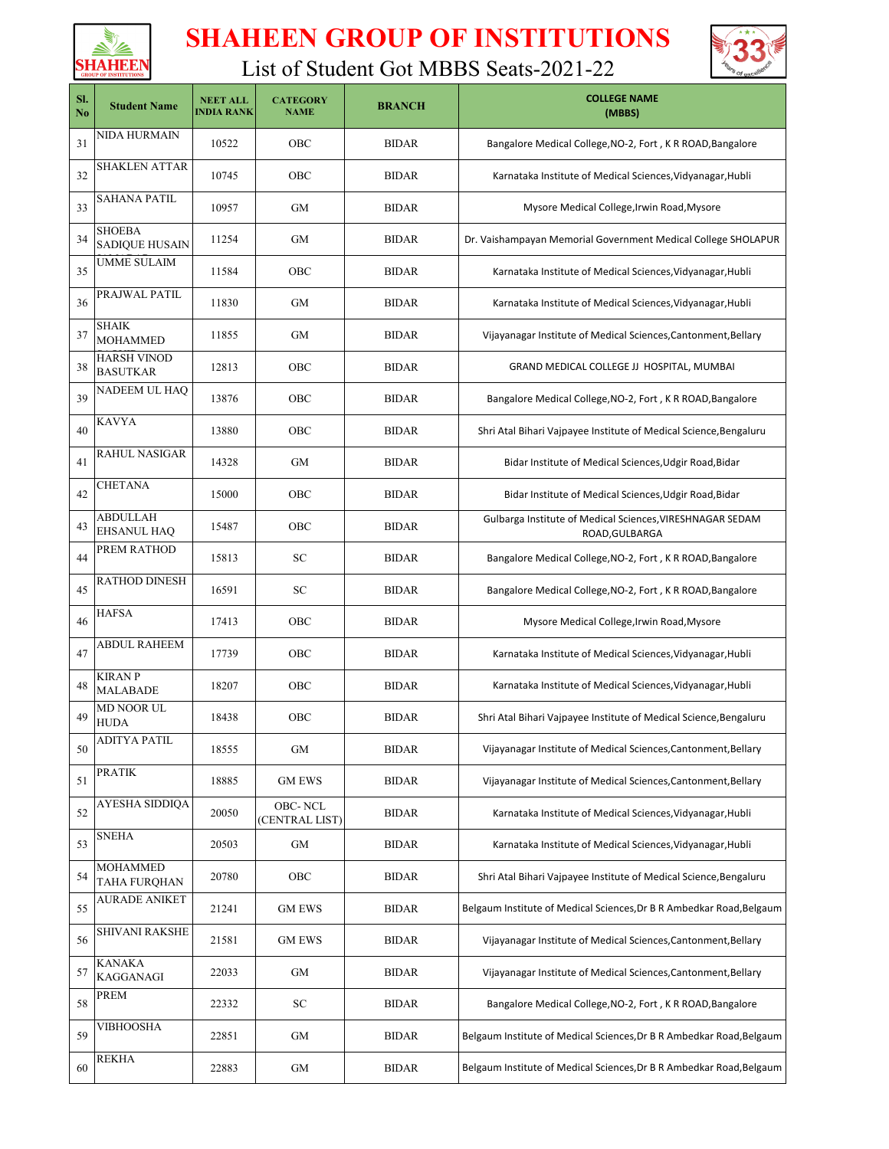



| SI.<br>No | <b>Student Name</b>                   | <b>NEET ALL</b><br><b>INDIA RANK</b> | <b>CATEGORY</b><br><b>NAME</b>   | <b>BRANCH</b> | <b>COLLEGE NAME</b><br>(MBBS)                                               |
|-----------|---------------------------------------|--------------------------------------|----------------------------------|---------------|-----------------------------------------------------------------------------|
| 31        | NIDA HURMAIN                          | 10522                                | OBC                              | <b>BIDAR</b>  | Bangalore Medical College, NO-2, Fort, K R ROAD, Bangalore                  |
| 32        | SHAKLEN ATTAR                         | 10745                                | OBC                              | <b>BIDAR</b>  | Karnataka Institute of Medical Sciences, Vidyanagar, Hubli                  |
| 33        | SAHANA PATIL                          | 10957                                | <b>GM</b>                        | <b>BIDAR</b>  | Mysore Medical College, Irwin Road, Mysore                                  |
| 34        | SHOEBA<br><b>SADIQUE HUSAIN</b>       | 11254                                | GМ                               | <b>BIDAR</b>  | Dr. Vaishampayan Memorial Government Medical College SHOLAPUR               |
| 35        | <b>UMME SULAIM</b>                    | 11584                                | OBC                              | <b>BIDAR</b>  | Karnataka Institute of Medical Sciences, Vidyanagar, Hubli                  |
| 36        | PRAJWAL PATIL                         | 11830                                | GM                               | <b>BIDAR</b>  | Karnataka Institute of Medical Sciences, Vidyanagar, Hubli                  |
| 37        | SHAIK<br><b>MOHAMMED</b>              | 11855                                | GМ                               | <b>BIDAR</b>  | Vijayanagar Institute of Medical Sciences, Cantonment, Bellary              |
| 38        | <b>HARSH VINOD</b><br><b>BASUTKAR</b> | 12813                                | OBC                              | <b>BIDAR</b>  | GRAND MEDICAL COLLEGE JJ HOSPITAL, MUMBAI                                   |
| 39        | NADEEM UL HAQ                         | 13876                                | OBC                              | <b>BIDAR</b>  | Bangalore Medical College, NO-2, Fort, K R ROAD, Bangalore                  |
| 40        | KAVYA                                 | 13880                                | OBC                              | <b>BIDAR</b>  | Shri Atal Bihari Vajpayee Institute of Medical Science, Bengaluru           |
| 41        | <b>RAHUL NASIGAR</b>                  | 14328                                | <b>GM</b>                        | <b>BIDAR</b>  | Bidar Institute of Medical Sciences, Udgir Road, Bidar                      |
| 42        | <b>CHETANA</b>                        | 15000                                | OBC                              | <b>BIDAR</b>  | Bidar Institute of Medical Sciences, Udgir Road, Bidar                      |
| 43        | ABDULLAH<br><b>EHSANUL HAQ</b>        | 15487                                | OBC                              | <b>BIDAR</b>  | Gulbarga Institute of Medical Sciences, VIRESHNAGAR SEDAM<br>ROAD, GULBARGA |
| 44        | PREM RATHOD                           | 15813                                | <b>SC</b>                        | <b>BIDAR</b>  | Bangalore Medical College, NO-2, Fort, K R ROAD, Bangalore                  |
| 45        | RATHOD DINESH                         | 16591                                | SC                               | <b>BIDAR</b>  | Bangalore Medical College, NO-2, Fort, K R ROAD, Bangalore                  |
| 46        | <b>HAFSA</b>                          | 17413                                | OBC                              | <b>BIDAR</b>  | Mysore Medical College, Irwin Road, Mysore                                  |
| 47        | <b>ABDUL RAHEEM</b>                   | 17739                                | OBC                              | <b>BIDAR</b>  | Karnataka Institute of Medical Sciences, Vidyanagar, Hubli                  |
| 48        | <b>KIRAN P</b><br><b>MALABADE</b>     | 18207                                | OBC                              | <b>BIDAR</b>  | Karnataka Institute of Medical Sciences, Vidyanagar, Hubli                  |
| 49        | <b>MD NOOR UL</b><br><b>HUDA</b>      | 18438                                | OBC                              | <b>BIDAR</b>  | Shri Atal Bihari Vajpayee Institute of Medical Science, Bengaluru           |
| 50        | <b>ADITYA PATIL</b>                   | 18555                                | GM                               | <b>BIDAR</b>  | Vijayanagar Institute of Medical Sciences, Cantonment, Bellary              |
| 51        | <b>PRATIK</b>                         | 18885                                | <b>GM EWS</b>                    | <b>BIDAR</b>  | Vijayanagar Institute of Medical Sciences, Cantonment, Bellary              |
| 52        | AYESHA SIDDIQA                        | 20050                                | <b>OBC-NCL</b><br>(CENTRAL LIST) | <b>BIDAR</b>  | Karnataka Institute of Medical Sciences, Vidyanagar, Hubli                  |
| 53        | <b>SNEHA</b>                          | 20503                                | GM                               | <b>BIDAR</b>  | Karnataka Institute of Medical Sciences, Vidyanagar, Hubli                  |
| 54        | MOHAMMED<br><b>TAHA FURQHAN</b>       | 20780                                | OBC                              | <b>BIDAR</b>  | Shri Atal Bihari Vajpayee Institute of Medical Science, Bengaluru           |
| 55        | <b>AURADE ANIKET</b>                  | 21241                                | <b>GM EWS</b>                    | <b>BIDAR</b>  | Belgaum Institute of Medical Sciences, Dr B R Ambedkar Road, Belgaum        |
| 56        | SHIVANI RAKSHE                        | 21581                                | <b>GM EWS</b>                    | <b>BIDAR</b>  | Vijayanagar Institute of Medical Sciences, Cantonment, Bellary              |
| 57        | <b>KANAKA</b><br><b>KAGGANAGI</b>     | 22033                                | GM                               | <b>BIDAR</b>  | Vijayanagar Institute of Medical Sciences, Cantonment, Bellary              |
| 58        | PREM                                  | 22332                                | SC                               | <b>BIDAR</b>  | Bangalore Medical College, NO-2, Fort, K R ROAD, Bangalore                  |
| 59        | VIBHOOSHA                             | 22851                                | GМ                               | <b>BIDAR</b>  | Belgaum Institute of Medical Sciences, Dr B R Ambedkar Road, Belgaum        |
| 60        | <b>REKHA</b>                          | 22883                                | GM                               | <b>BIDAR</b>  | Belgaum Institute of Medical Sciences, Dr B R Ambedkar Road, Belgaum        |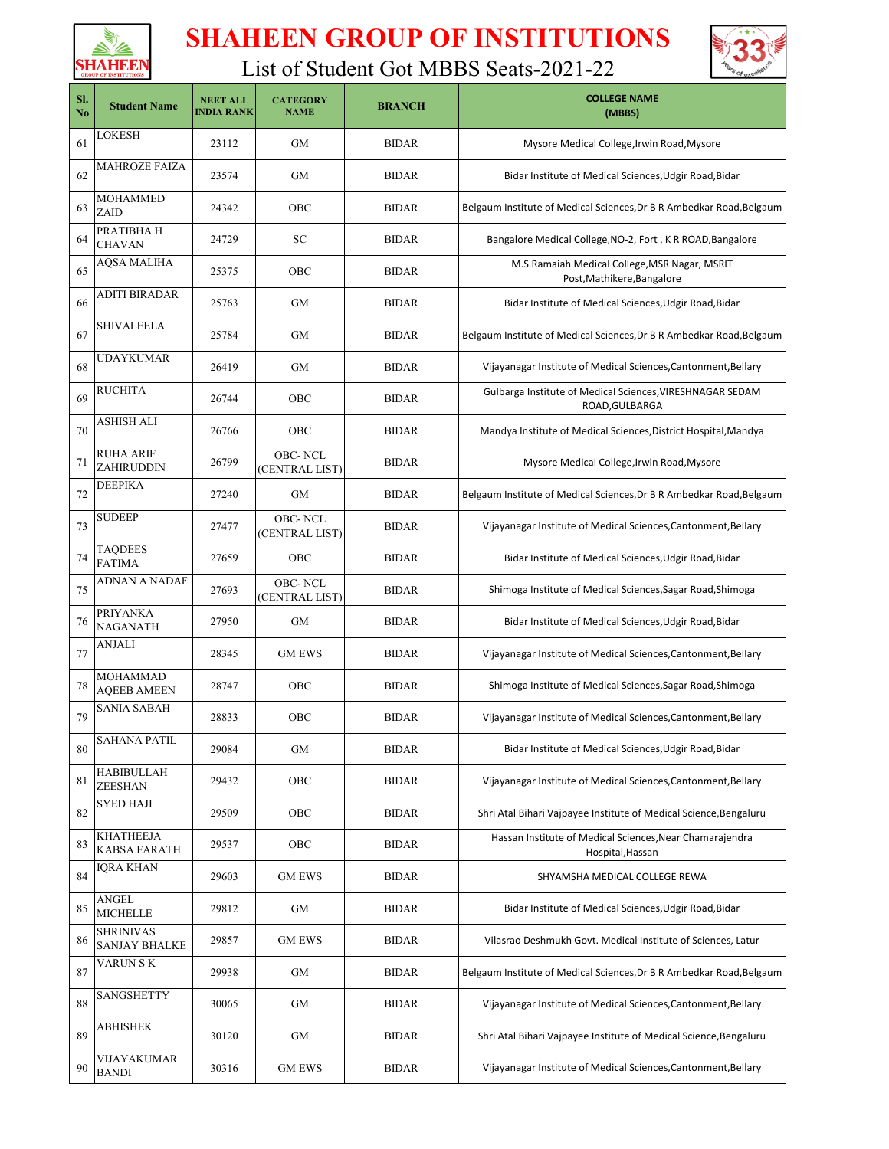



| SI.<br>N <sub>0</sub> | <b>Student Name</b>                      | <b>NEET ALL</b><br><b>INDIA RANK</b> | <b>CATEGORY</b><br><b>NAME</b>   | <b>BRANCH</b> | <b>COLLEGE NAME</b><br>(MBBS)                                                |
|-----------------------|------------------------------------------|--------------------------------------|----------------------------------|---------------|------------------------------------------------------------------------------|
| 61                    | LOKESH                                   | 23112                                | GМ                               | <b>BIDAR</b>  | Mysore Medical College, Irwin Road, Mysore                                   |
| 62                    | MAHROZE FAIZA                            | 23574                                | GМ                               | <b>BIDAR</b>  | Bidar Institute of Medical Sciences, Udgir Road, Bidar                       |
| 63                    | MOHAMMED<br>ZAID                         | 24342                                | OBC                              | <b>BIDAR</b>  | Belgaum Institute of Medical Sciences, Dr B R Ambedkar Road, Belgaum         |
| 64                    | PRATIBHA H<br><b>CHAVAN</b>              | 24729                                | SC                               | <b>BIDAR</b>  | Bangalore Medical College, NO-2, Fort, K R ROAD, Bangalore                   |
| 65                    | AQSA MALIHA                              | 25375                                | OBC                              | <b>BIDAR</b>  | M.S.Ramaiah Medical College, MSR Nagar, MSRIT<br>Post, Mathikere, Bangalore  |
| 66                    | <b>ADITI BIRADAR</b>                     | 25763                                | <b>GM</b>                        | <b>BIDAR</b>  | Bidar Institute of Medical Sciences, Udgir Road, Bidar                       |
| 67                    | SHIVALEELA                               | 25784                                | GМ                               | <b>BIDAR</b>  | Belgaum Institute of Medical Sciences, Dr B R Ambedkar Road, Belgaum         |
| 68                    | UDAYKUMAR                                | 26419                                | GМ                               | <b>BIDAR</b>  | Vijayanagar Institute of Medical Sciences, Cantonment, Bellary               |
| 69                    | RUCHITA                                  | 26744                                | <b>OBC</b>                       | <b>BIDAR</b>  | Gulbarga Institute of Medical Sciences, VIRESHNAGAR SEDAM<br>ROAD, GULBARGA  |
| 70                    | ASHISH ALI                               | 26766                                | OBC                              | <b>BIDAR</b>  | Mandya Institute of Medical Sciences, District Hospital, Mandya              |
| 71                    | <b>RUHA ARIF</b><br>ZAHIRUDDIN           | 26799                                | <b>OBC-NCL</b><br>(CENTRAL LIST) | <b>BIDAR</b>  | Mysore Medical College, Irwin Road, Mysore                                   |
| 72                    | <b>DEEPIKA</b>                           | 27240                                | <b>GM</b>                        | <b>BIDAR</b>  | Belgaum Institute of Medical Sciences, Dr B R Ambedkar Road, Belgaum         |
| 73                    | SUDEEP                                   | 27477                                | <b>OBC-NCL</b><br>(CENTRAL LIST) | <b>BIDAR</b>  | Vijayanagar Institute of Medical Sciences, Cantonment, Bellary               |
| 74                    | <b>TAQDEES</b><br><b>FATIMA</b>          | 27659                                | OBC                              | <b>BIDAR</b>  | Bidar Institute of Medical Sciences, Udgir Road, Bidar                       |
| 75                    | ADNAN A NADAF                            | 27693                                | OBC-NCL<br>(CENTRAL LIST)        | <b>BIDAR</b>  | Shimoga Institute of Medical Sciences, Sagar Road, Shimoga                   |
| 76                    | <b>PRIYANKA</b><br><b>NAGANATH</b>       | 27950                                | GM                               | <b>BIDAR</b>  | Bidar Institute of Medical Sciences, Udgir Road, Bidar                       |
| 77                    | ANJALI                                   | 28345                                | <b>GM EWS</b>                    | <b>BIDAR</b>  | Vijayanagar Institute of Medical Sciences, Cantonment, Bellary               |
| 78                    | MOHAMMAD<br><b>AQEEB AMEEN</b>           | 28747                                | OBC                              | <b>BIDAR</b>  | Shimoga Institute of Medical Sciences, Sagar Road, Shimoga                   |
| 79                    | SANIA SABAH                              | 28833                                | OBC                              | <b>BIDAR</b>  | Vijayanagar Institute of Medical Sciences, Cantonment, Bellary               |
| 80                    | <b>SAHANA PATIL</b>                      | 29084                                | GM                               | <b>BIDAR</b>  | Bidar Institute of Medical Sciences, Udgir Road, Bidar                       |
| 81                    | HABIBULLAH<br><b>ZEESHAN</b>             | 29432                                | OBC                              | <b>BIDAR</b>  | Vijayanagar Institute of Medical Sciences, Cantonment, Bellary               |
| 82                    | SYED HAJI                                | 29509                                | OBC                              | <b>BIDAR</b>  | Shri Atal Bihari Vajpayee Institute of Medical Science, Bengaluru            |
| 83                    | <b>KHATHEEJA</b><br><b>KABSA FARATH</b>  | 29537                                | OBC                              | <b>BIDAR</b>  | Hassan Institute of Medical Sciences, Near Chamarajendra<br>Hospital, Hassan |
| 84                    | IQRA KHAN                                | 29603                                | <b>GM EWS</b>                    | <b>BIDAR</b>  | SHYAMSHA MEDICAL COLLEGE REWA                                                |
| 85                    | <b>ANGEL</b><br><b>MICHELLE</b>          | 29812                                | GM                               | <b>BIDAR</b>  | Bidar Institute of Medical Sciences, Udgir Road, Bidar                       |
| 86                    | <b>SHRINIVAS</b><br><b>SANJAY BHALKE</b> | 29857                                | <b>GM EWS</b>                    | <b>BIDAR</b>  | Vilasrao Deshmukh Govt. Medical Institute of Sciences, Latur                 |
| 87                    | VARUN SK                                 | 29938                                | GМ                               | <b>BIDAR</b>  | Belgaum Institute of Medical Sciences, Dr B R Ambedkar Road, Belgaum         |
| 88                    | <b>SANGSHETTY</b>                        | 30065                                | GМ                               | <b>BIDAR</b>  | Vijayanagar Institute of Medical Sciences, Cantonment, Bellary               |
| 89                    | <b>ABHISHEK</b>                          | 30120                                | GM                               | <b>BIDAR</b>  | Shri Atal Bihari Vajpayee Institute of Medical Science, Bengaluru            |
| 90                    | VIJAYAKUMAR<br><b>BANDI</b>              | 30316                                | <b>GM EWS</b>                    | <b>BIDAR</b>  | Vijayanagar Institute of Medical Sciences, Cantonment, Bellary               |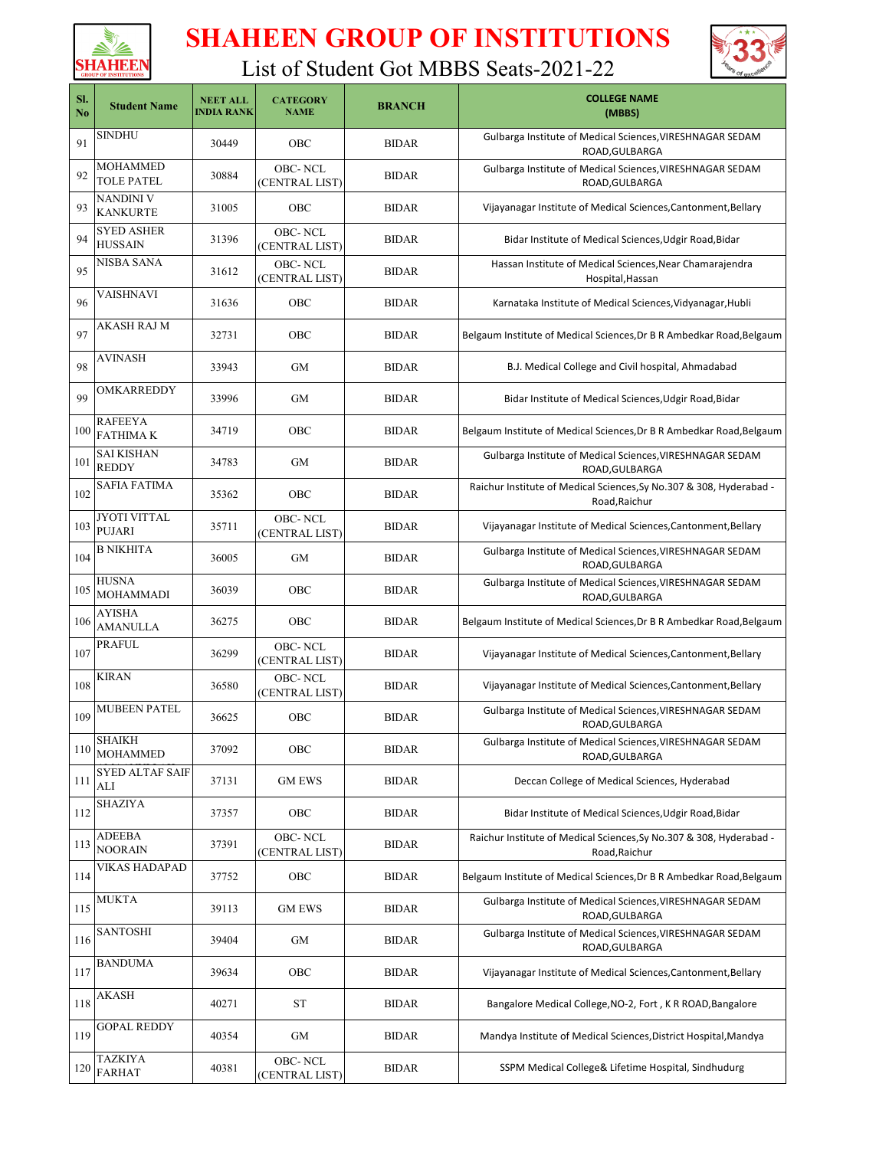



| SI.<br>N <sub>0</sub> | <b>Student Name</b>                  | <b>NEET ALL</b><br><b>INDIA RANK</b> | <b>CATEGORY</b><br><b>NAME</b>   | <b>BRANCH</b> | <b>COLLEGE NAME</b><br>(MBBS)                                                        |
|-----------------------|--------------------------------------|--------------------------------------|----------------------------------|---------------|--------------------------------------------------------------------------------------|
| 91                    | <b>SINDHU</b>                        | 30449                                | <b>OBC</b>                       | <b>BIDAR</b>  | Gulbarga Institute of Medical Sciences, VIRESHNAGAR SEDAM<br>ROAD, GULBARGA          |
| 92                    | MOHAMMED<br><b>TOLE PATEL</b>        | 30884                                | OBC-NCL<br>(CENTRAL LIST)        | <b>BIDAR</b>  | Gulbarga Institute of Medical Sciences, VIRESHNAGAR SEDAM<br>ROAD, GULBARGA          |
| 93                    | NANDINI V<br><b>KANKURTE</b>         | 31005                                | OBC                              | <b>BIDAR</b>  | Vijayanagar Institute of Medical Sciences, Cantonment, Bellary                       |
| 94                    | <b>SYED ASHER</b><br><b>HUSSAIN</b>  | 31396                                | <b>OBC-NCL</b><br>(CENTRAL LIST) | <b>BIDAR</b>  | Bidar Institute of Medical Sciences, Udgir Road, Bidar                               |
| 95                    | NISBA SANA                           | 31612                                | <b>OBC-NCL</b><br>(CENTRAL LIST) | <b>BIDAR</b>  | Hassan Institute of Medical Sciences, Near Chamarajendra<br>Hospital, Hassan         |
| 96                    | VAISHNAVI                            | 31636                                | <b>OBC</b>                       | <b>BIDAR</b>  | Karnataka Institute of Medical Sciences, Vidyanagar, Hubli                           |
| 97                    | AKASH RAJ M                          | 32731                                | <b>OBC</b>                       | <b>BIDAR</b>  | Belgaum Institute of Medical Sciences, Dr B R Ambedkar Road, Belgaum                 |
| 98                    | AVINASH                              | 33943                                | <b>GM</b>                        | <b>BIDAR</b>  | B.J. Medical College and Civil hospital, Ahmadabad                                   |
| 99                    | OMKARREDDY                           | 33996                                | <b>GM</b>                        | <b>BIDAR</b>  | Bidar Institute of Medical Sciences, Udgir Road, Bidar                               |
| 100                   | <b>RAFEEYA</b><br><b>FATHIMAK</b>    | 34719                                | <b>OBC</b>                       | <b>BIDAR</b>  | Belgaum Institute of Medical Sciences, Dr B R Ambedkar Road, Belgaum                 |
| 101                   | <b>SAI KISHAN</b><br><b>REDDY</b>    | 34783                                | <b>GM</b>                        | <b>BIDAR</b>  | Gulbarga Institute of Medical Sciences, VIRESHNAGAR SEDAM<br>ROAD, GULBARGA          |
| 102                   | SAFIA FATIMA                         | 35362                                | <b>OBC</b>                       | <b>BIDAR</b>  | Raichur Institute of Medical Sciences, Sy No.307 & 308, Hyderabad -<br>Road, Raichur |
| 103                   | <b>JYOTI VITTAL</b><br><b>PUJARI</b> | 35711                                | <b>OBC-NCL</b><br>(CENTRAL LIST) | <b>BIDAR</b>  | Vijayanagar Institute of Medical Sciences, Cantonment, Bellary                       |
| 104                   | B NIKHITA                            | 36005                                | <b>GM</b>                        | <b>BIDAR</b>  | Gulbarga Institute of Medical Sciences, VIRESHNAGAR SEDAM<br>ROAD, GULBARGA          |
| 105                   | <b>HUSNA</b><br><b>MOHAMMADI</b>     | 36039                                | <b>OBC</b>                       | <b>BIDAR</b>  | Gulbarga Institute of Medical Sciences, VIRESHNAGAR SEDAM<br>ROAD, GULBARGA          |
| 106                   | AYISHA<br><b>AMANULLA</b>            | 36275                                | <b>OBC</b>                       | <b>BIDAR</b>  | Belgaum Institute of Medical Sciences, Dr B R Ambedkar Road, Belgaum                 |
| 107                   | <b>PRAFUL</b>                        | 36299                                | <b>OBC-NCL</b><br>(CENTRAL LIST) | <b>BIDAR</b>  | Vijayanagar Institute of Medical Sciences, Cantonment, Bellary                       |
| 108                   | <b>KIRAN</b>                         | 36580                                | <b>OBC-NCL</b><br>(CENTRAL LIST) | <b>BIDAR</b>  | Vijayanagar Institute of Medical Sciences, Cantonment, Bellary                       |
| 109                   | <b>MUBEEN PATEL</b>                  | 36625                                | <b>OBC</b>                       | <b>BIDAR</b>  | Gulbarga Institute of Medical Sciences, VIRESHNAGAR SEDAM<br>ROAD, GULBARGA          |
| $110\,$               | <b>SHAIKH</b><br><b>MOHAMMED</b>     | 37092                                | OBC                              | <b>BIDAR</b>  | Gulbarga Institute of Medical Sciences, VIRESHNAGAR SEDAM<br>ROAD, GULBARGA          |
| 111                   | <b>SYED ALTAF SAIF</b><br>ALI        | 37131                                | <b>GM EWS</b>                    | <b>BIDAR</b>  | Deccan College of Medical Sciences, Hyderabad                                        |
| 112                   | <b>SHAZIYA</b>                       | 37357                                | OBC                              | <b>BIDAR</b>  | Bidar Institute of Medical Sciences, Udgir Road, Bidar                               |
| 113                   | ADEEBA<br><b>NOORAIN</b>             | 37391                                | OBC-NCL<br>(CENTRAL LIST)        | <b>BIDAR</b>  | Raichur Institute of Medical Sciences, Sy No.307 & 308, Hyderabad -<br>Road, Raichur |
| 114                   | VIKAS HADAPAD                        | 37752                                | OBC                              | <b>BIDAR</b>  | Belgaum Institute of Medical Sciences, Dr B R Ambedkar Road, Belgaum                 |
| 115                   | MUKTA                                | 39113                                | <b>GM EWS</b>                    | <b>BIDAR</b>  | Gulbarga Institute of Medical Sciences, VIRESHNAGAR SEDAM<br>ROAD, GULBARGA          |
| 116                   | SANTOSHI                             | 39404                                | GM                               | <b>BIDAR</b>  | Gulbarga Institute of Medical Sciences, VIRESHNAGAR SEDAM<br>ROAD, GULBARGA          |
| 117                   | BANDUMA                              | 39634                                | OBC                              | <b>BIDAR</b>  | Vijayanagar Institute of Medical Sciences, Cantonment, Bellary                       |
| 118                   | AKASH                                | 40271                                | ST                               | <b>BIDAR</b>  | Bangalore Medical College, NO-2, Fort, K R ROAD, Bangalore                           |
| 119                   | <b>GOPAL REDDY</b>                   | 40354                                | GM                               | <b>BIDAR</b>  | Mandya Institute of Medical Sciences, District Hospital, Mandya                      |
| 120                   | <b>TAZKIYA</b><br><b>FARHAT</b>      | 40381                                | OBC-NCL<br>(CENTRAL LIST)        | <b>BIDAR</b>  | SSPM Medical College& Lifetime Hospital, Sindhudurg                                  |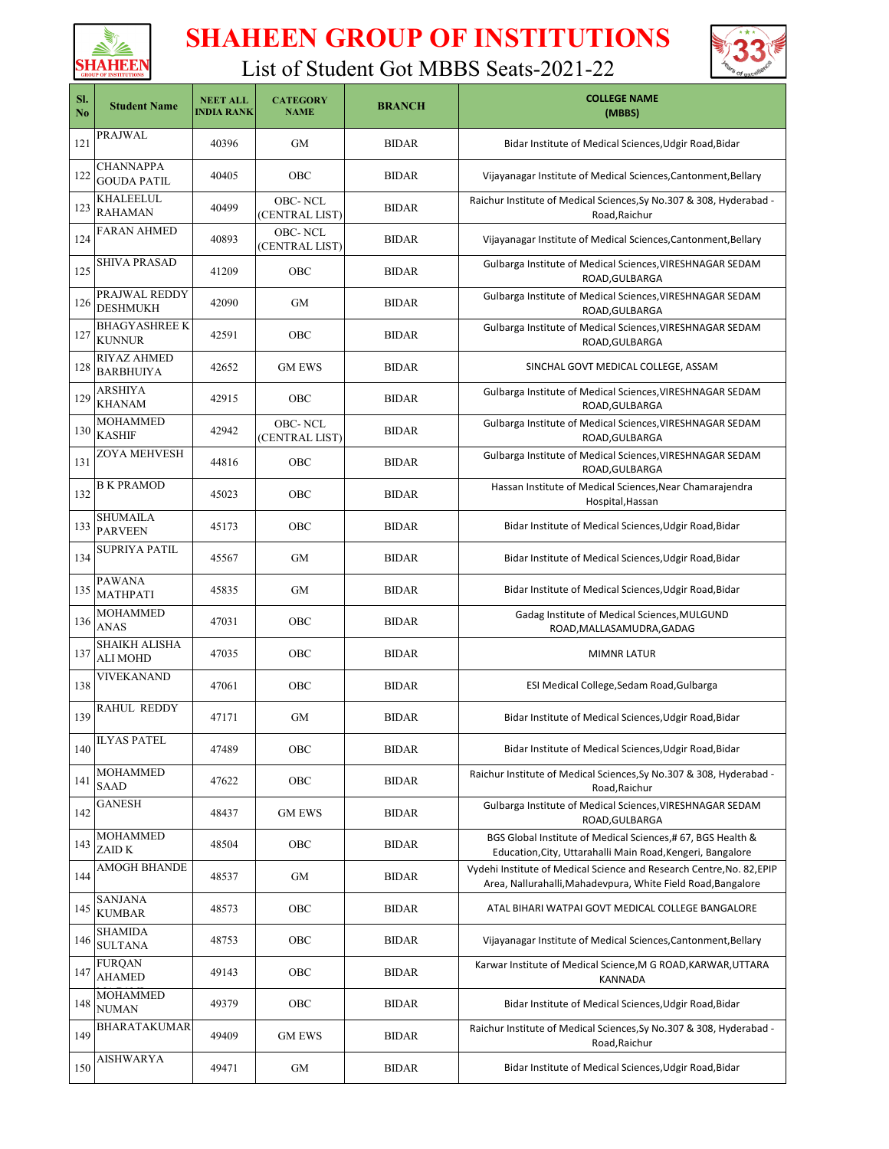



| SI.<br>N <sub>o</sub> | <b>Student Name</b>                     | <b>NEET ALL</b><br><b>INDIA RANK</b> | <b>CATEGORY</b><br><b>NAME</b>   | <b>BRANCH</b> | <b>COLLEGE NAME</b><br>(MBBS)                                                                                                         |
|-----------------------|-----------------------------------------|--------------------------------------|----------------------------------|---------------|---------------------------------------------------------------------------------------------------------------------------------------|
| 121                   | PRAJWAL                                 | 40396                                | <b>GM</b>                        | <b>BIDAR</b>  | Bidar Institute of Medical Sciences, Udgir Road, Bidar                                                                                |
| 122                   | <b>CHANNAPPA</b><br><b>GOUDA PATIL</b>  | 40405                                | <b>OBC</b>                       | <b>BIDAR</b>  | Vijayanagar Institute of Medical Sciences, Cantonment, Bellary                                                                        |
| 123                   | KHALEELUL<br><b>RAHAMAN</b>             | 40499                                | OBC-NCL<br>(CENTRAL LIST)        | <b>BIDAR</b>  | Raichur Institute of Medical Sciences, Sy No.307 & 308, Hyderabad -<br>Road, Raichur                                                  |
| 124                   | <b>FARAN AHMED</b>                      | 40893                                | OBC-NCL<br>(CENTRAL LIST)        | <b>BIDAR</b>  | Vijayanagar Institute of Medical Sciences, Cantonment, Bellary                                                                        |
| 125                   | <b>SHIVA PRASAD</b>                     | 41209                                | OBC                              | <b>BIDAR</b>  | Gulbarga Institute of Medical Sciences, VIRESHNAGAR SEDAM<br>ROAD, GULBARGA                                                           |
| 126                   | PRAJWAL REDDY<br><b>DESHMUKH</b>        | 42090                                | <b>GM</b>                        | <b>BIDAR</b>  | Gulbarga Institute of Medical Sciences, VIRESHNAGAR SEDAM<br>ROAD, GULBARGA                                                           |
| 127                   | <b>BHAGYASHREE K</b><br><b>KUNNUR</b>   | 42591                                | OBC                              | <b>BIDAR</b>  | Gulbarga Institute of Medical Sciences, VIRESHNAGAR SEDAM<br>ROAD, GULBARGA                                                           |
| 128                   | RIYAZ AHMED<br><b>BARBHUIYA</b>         | 42652                                | <b>GM EWS</b>                    | <b>BIDAR</b>  | SINCHAL GOVT MEDICAL COLLEGE, ASSAM                                                                                                   |
| 129                   | <b>ARSHIYA</b><br><b>KHANAM</b>         | 42915                                | <b>OBC</b>                       | <b>BIDAR</b>  | Gulbarga Institute of Medical Sciences, VIRESHNAGAR SEDAM<br>ROAD, GULBARGA                                                           |
| 130                   | <b>MOHAMMED</b><br><b>KASHIF</b>        | 42942                                | <b>OBC-NCL</b><br>(CENTRAL LIST) | <b>BIDAR</b>  | Gulbarga Institute of Medical Sciences, VIRESHNAGAR SEDAM<br>ROAD, GULBARGA                                                           |
| 131                   | ZOYA MEHVESH                            | 44816                                | <b>OBC</b>                       | <b>BIDAR</b>  | Gulbarga Institute of Medical Sciences, VIRESHNAGAR SEDAM<br>ROAD, GULBARGA                                                           |
| 132                   | <b>B K PRAMOD</b>                       | 45023                                | <b>OBC</b>                       | <b>BIDAR</b>  | Hassan Institute of Medical Sciences, Near Chamarajendra<br>Hospital, Hassan                                                          |
| 133                   | <b>SHUMAILA</b><br><b>PARVEEN</b>       | 45173                                | <b>OBC</b>                       | <b>BIDAR</b>  | Bidar Institute of Medical Sciences, Udgir Road, Bidar                                                                                |
| 134                   | SUPRIYA PATIL                           | 45567                                | <b>GM</b>                        | <b>BIDAR</b>  | Bidar Institute of Medical Sciences, Udgir Road, Bidar                                                                                |
| 135                   | <b>PAWANA</b><br>MATHPATI               | 45835                                | <b>GM</b>                        | <b>BIDAR</b>  | Bidar Institute of Medical Sciences, Udgir Road, Bidar                                                                                |
| 136                   | <b>MOHAMMED</b><br><b>ANAS</b>          | 47031                                | <b>OBC</b>                       | <b>BIDAR</b>  | Gadag Institute of Medical Sciences, MULGUND<br>ROAD, MALLASAMUDRA, GADAG                                                             |
| 137                   | <b>SHAIKH ALISHA</b><br><b>ALI MOHD</b> | 47035                                | <b>OBC</b>                       | <b>BIDAR</b>  | <b>MIMNR LATUR</b>                                                                                                                    |
| 138                   | <b>VIVEKANAND</b>                       | 47061                                | <b>OBC</b>                       | <b>BIDAR</b>  | ESI Medical College, Sedam Road, Gulbarga                                                                                             |
| 139                   | <b>RAHUL REDDY</b>                      | 47171                                | <b>GM</b>                        | <b>BIDAR</b>  | Bidar Institute of Medical Sciences, Udgir Road, Bidar                                                                                |
| 140                   | <b>ILYAS PATEL</b>                      | 47489                                | OBC                              | <b>BIDAR</b>  | Bidar Institute of Medical Sciences, Udgir Road, Bidar                                                                                |
| 141                   | MOHAMMED<br>SAAD                        | 47622                                | OBC                              | <b>BIDAR</b>  | Raichur Institute of Medical Sciences, Sy No.307 & 308, Hyderabad -<br>Road, Raichur                                                  |
| 142                   | GANESH                                  | 48437                                | <b>GM EWS</b>                    | <b>BIDAR</b>  | Gulbarga Institute of Medical Sciences, VIRESHNAGAR SEDAM<br>ROAD, GULBARGA                                                           |
| 143                   | MOHAMMED<br>ZAID K                      | 48504                                | OBC                              | <b>BIDAR</b>  | BGS Global Institute of Medical Sciences,# 67, BGS Health &<br>Education, City, Uttarahalli Main Road, Kengeri, Bangalore             |
| 144                   | AMOGH BHANDE                            | 48537                                | <b>GM</b>                        | <b>BIDAR</b>  | Vydehi Institute of Medical Science and Research Centre, No. 82, EPIP<br>Area, Nallurahalli, Mahadevpura, White Field Road, Bangalore |
| 145                   | <b>SANJANA</b><br><b>KUMBAR</b>         | 48573                                | <b>OBC</b>                       | <b>BIDAR</b>  | ATAL BIHARI WATPAI GOVT MEDICAL COLLEGE BANGALORE                                                                                     |
| 146                   | SHAMIDA<br><b>SULTANA</b>               | 48753                                | OBC                              | <b>BIDAR</b>  | Vijayanagar Institute of Medical Sciences, Cantonment, Bellary                                                                        |
| 147                   | FURQAN<br>AHAMED                        | 49143                                | OBC                              | <b>BIDAR</b>  | Karwar Institute of Medical Science, M G ROAD, KARWAR, UTTARA<br>KANNADA                                                              |
| 148                   | <b>MOHAMMED</b><br><b>NUMAN</b>         | 49379                                | OBC                              | <b>BIDAR</b>  | Bidar Institute of Medical Sciences, Udgir Road, Bidar                                                                                |
| 149                   | BHARATAKUMAR                            | 49409                                | <b>GM EWS</b>                    | <b>BIDAR</b>  | Raichur Institute of Medical Sciences, Sy No.307 & 308, Hyderabad -<br>Road, Raichur                                                  |
| 150                   | <b>AISHWARYA</b>                        | 49471                                | GM                               | <b>BIDAR</b>  | Bidar Institute of Medical Sciences, Udgir Road, Bidar                                                                                |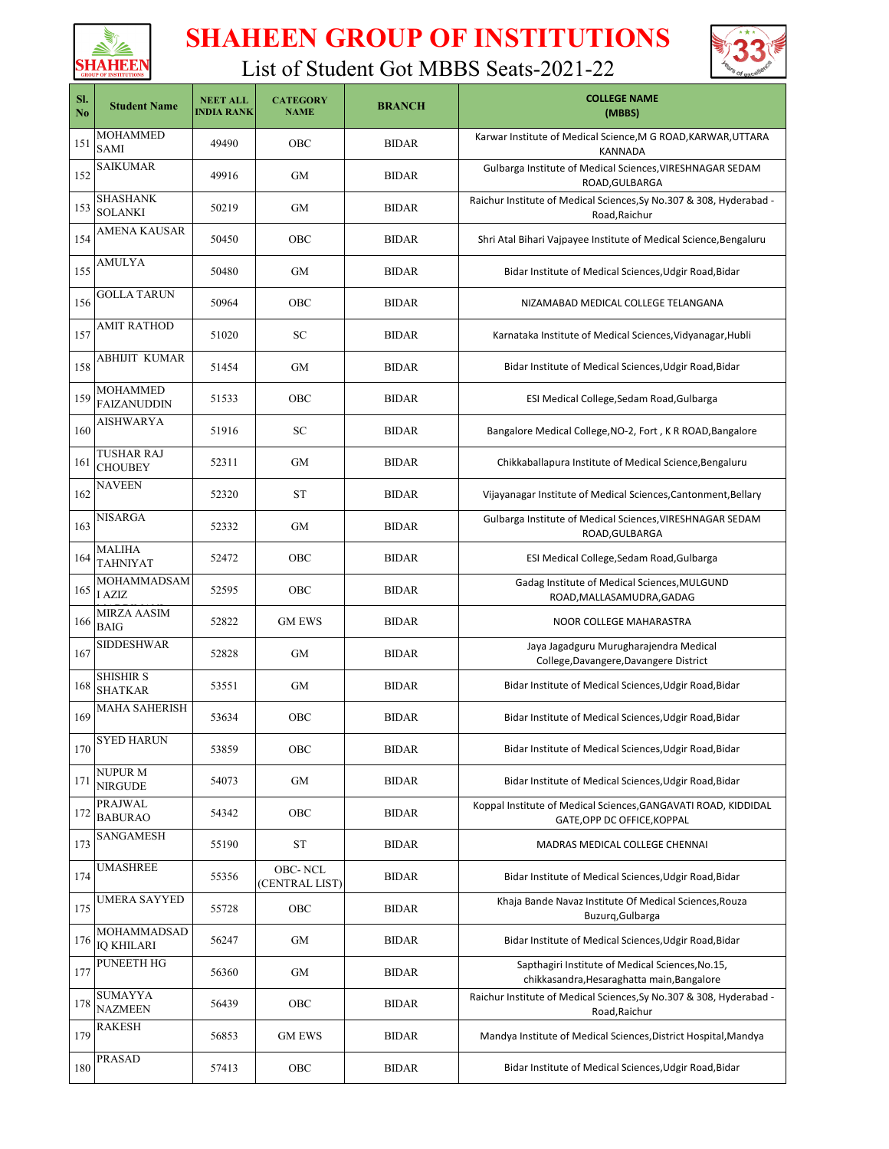



| SI.<br>N <sub>o</sub> | <b>Student Name</b>               | <b>NEET ALL</b><br><b>INDIA RANK</b> | <b>CATEGORY</b><br><b>NAME</b>   | <b>BRANCH</b> | <b>COLLEGE NAME</b><br>(MBBS)                                                                  |
|-----------------------|-----------------------------------|--------------------------------------|----------------------------------|---------------|------------------------------------------------------------------------------------------------|
| 151                   | <b>MOHAMMED</b><br><b>SAMI</b>    | 49490                                | OBC                              | <b>BIDAR</b>  | Karwar Institute of Medical Science, M G ROAD, KARWAR, UTTARA<br><b>KANNADA</b>                |
| 152                   | <b>SAIKUMAR</b>                   | 49916                                | <b>GM</b>                        | <b>BIDAR</b>  | Gulbarga Institute of Medical Sciences, VIRESHNAGAR SEDAM<br>ROAD, GULBARGA                    |
| 153                   | SHASHANK<br><b>SOLANKI</b>        | 50219                                | <b>GM</b>                        | <b>BIDAR</b>  | Raichur Institute of Medical Sciences, Sy No.307 & 308, Hyderabad -<br>Road, Raichur           |
| 154                   | AMENA KAUSAR                      | 50450                                | OBC                              | <b>BIDAR</b>  | Shri Atal Bihari Vajpayee Institute of Medical Science, Bengaluru                              |
| 155                   | <b>AMULYA</b>                     | 50480                                | <b>GM</b>                        | <b>BIDAR</b>  | Bidar Institute of Medical Sciences, Udgir Road, Bidar                                         |
| 156                   | <b>GOLLA TARUN</b>                | 50964                                | OBC                              | <b>BIDAR</b>  | NIZAMABAD MEDICAL COLLEGE TELANGANA                                                            |
| 157                   | AMIT RATHOD                       | 51020                                | SC                               | <b>BIDAR</b>  | Karnataka Institute of Medical Sciences, Vidyanagar, Hubli                                     |
| 158                   | ABHIJIT KUMAR                     | 51454                                | <b>GM</b>                        | <b>BIDAR</b>  | Bidar Institute of Medical Sciences, Udgir Road, Bidar                                         |
| 159                   | MOHAMMED<br><b>FAIZANUDDIN</b>    | 51533                                | OBC                              | <b>BIDAR</b>  | ESI Medical College, Sedam Road, Gulbarga                                                      |
| 160                   | AISHWARYA                         | 51916                                | SC                               | <b>BIDAR</b>  | Bangalore Medical College, NO-2, Fort, K R ROAD, Bangalore                                     |
| 161                   | TUSHAR RAJ<br><b>CHOUBEY</b>      | 52311                                | <b>GM</b>                        | <b>BIDAR</b>  | Chikkaballapura Institute of Medical Science, Bengaluru                                        |
| 162                   | <b>NAVEEN</b>                     | 52320                                | ST                               | <b>BIDAR</b>  | Vijayanagar Institute of Medical Sciences, Cantonment, Bellary                                 |
| 163                   | NISARGA                           | 52332                                | <b>GM</b>                        | <b>BIDAR</b>  | Gulbarga Institute of Medical Sciences, VIRESHNAGAR SEDAM<br>ROAD, GULBARGA                    |
| 164                   | <b>MALIHA</b><br><b>TAHNIYAT</b>  | 52472                                | OBC                              | <b>BIDAR</b>  | ESI Medical College, Sedam Road, Gulbarga                                                      |
| 165                   | MOHAMMADSAM<br>I AZIZ             | 52595                                | OBC                              | <b>BIDAR</b>  | Gadag Institute of Medical Sciences, MULGUND<br>ROAD, MALLASAMUDRA, GADAG                      |
| 166                   | <b>MIRZA AASIM</b><br><b>BAIG</b> | 52822                                | <b>GM EWS</b>                    | <b>BIDAR</b>  | NOOR COLLEGE MAHARASTRA                                                                        |
| 167                   | <b>SIDDESHWAR</b>                 | 52828                                | <b>GM</b>                        | <b>BIDAR</b>  | Jaya Jagadguru Murugharajendra Medical<br>College, Davangere, Davangere District               |
| 168                   | SHISHIR S<br><b>SHATKAR</b>       | 53551                                | GМ                               | <b>BIDAR</b>  | Bidar Institute of Medical Sciences, Udgir Road, Bidar                                         |
| 169                   | <b>MAHA SAHERISH</b>              | 53634                                | OBC                              | <b>BIDAR</b>  | Bidar Institute of Medical Sciences, Udgir Road, Bidar                                         |
| 170                   | <b>SYED HARUN</b>                 | 53859                                | OBC                              | <b>BIDAR</b>  | Bidar Institute of Medical Sciences, Udgir Road, Bidar                                         |
| 171                   | <b>NUPURM</b><br><b>NIRGUDE</b>   | 54073                                | GМ                               | <b>BIDAR</b>  | Bidar Institute of Medical Sciences, Udgir Road, Bidar                                         |
| 172                   | PRAJWAL<br><b>BABURAO</b>         | 54342                                | OBC                              | <b>BIDAR</b>  | Koppal Institute of Medical Sciences, GANGAVATI ROAD, KIDDIDAL<br>GATE, OPP DC OFFICE, KOPPAL  |
| 173                   | SANGAMESH                         | 55190                                | <b>ST</b>                        | <b>BIDAR</b>  | MADRAS MEDICAL COLLEGE CHENNAI                                                                 |
| 174                   | <b>UMASHREE</b>                   | 55356                                | <b>OBC-NCL</b><br>(CENTRAL LIST) | <b>BIDAR</b>  | Bidar Institute of Medical Sciences, Udgir Road, Bidar                                         |
| 175                   | <b>UMERA SAYYED</b>               | 55728                                | OBC                              | <b>BIDAR</b>  | Khaja Bande Navaz Institute Of Medical Sciences, Rouza<br>Buzurg, Gulbarga                     |
| 176                   | MOHAMMADSAD<br><b>IQ KHILARI</b>  | 56247                                | GМ                               | <b>BIDAR</b>  | Bidar Institute of Medical Sciences, Udgir Road, Bidar                                         |
| 177                   | PUNEETH HG                        | 56360                                | GM                               | <b>BIDAR</b>  | Sapthagiri Institute of Medical Sciences, No.15,<br>chikkasandra, Hesaraghatta main, Bangalore |
| 178                   | <b>SUMAYYA</b><br><b>NAZMEEN</b>  | 56439                                | OBC                              | <b>BIDAR</b>  | Raichur Institute of Medical Sciences, Sy No.307 & 308, Hyderabad -<br>Road, Raichur           |
| 179                   | RAKESH                            | 56853                                | <b>GM EWS</b>                    | <b>BIDAR</b>  | Mandya Institute of Medical Sciences, District Hospital, Mandya                                |
| 180                   | <b>PRASAD</b>                     | 57413                                | OBC                              | <b>BIDAR</b>  | Bidar Institute of Medical Sciences, Udgir Road, Bidar                                         |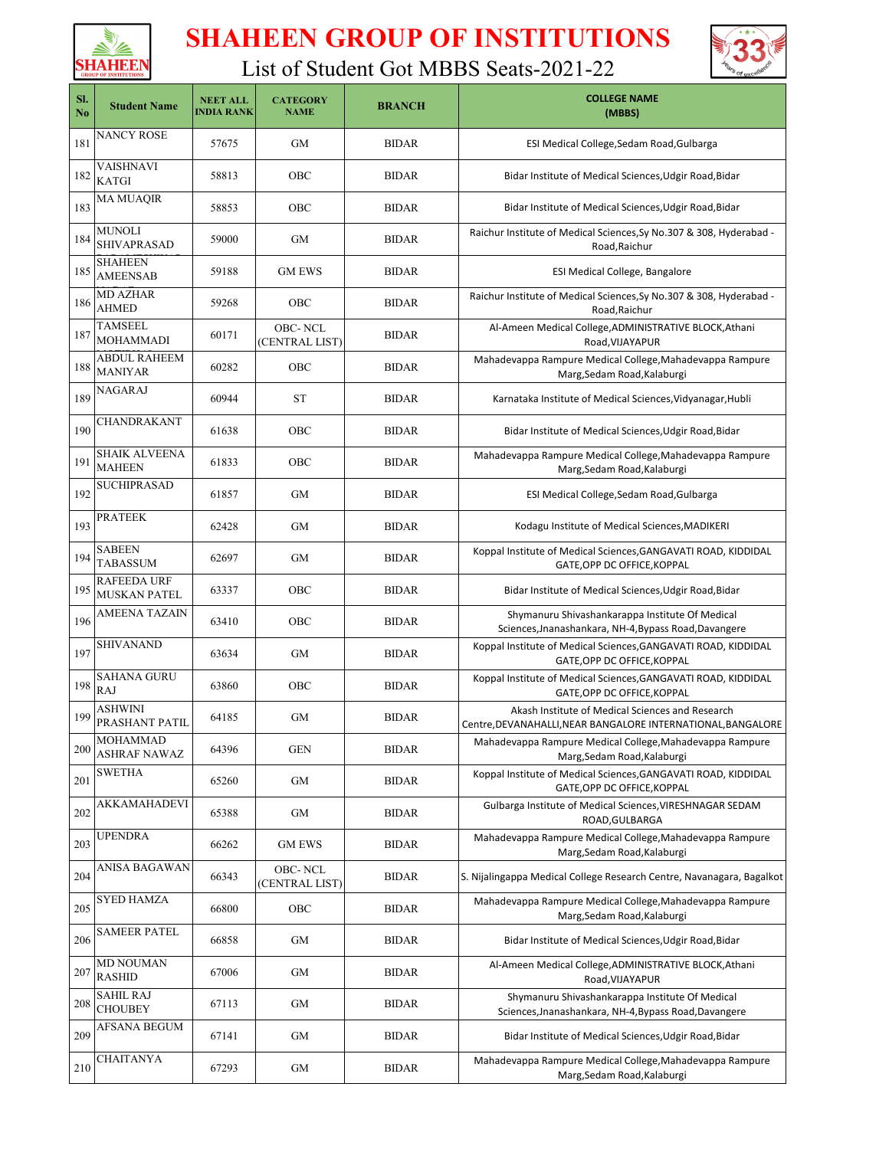



| SI.<br>N <sub>0</sub> | <b>Student Name</b>                       | <b>NEET ALL</b><br><b>INDIA RANK</b> | <b>CATEGORY</b><br><b>NAME</b> | <b>BRANCH</b> | <b>COLLEGE NAME</b><br>(MBBS)                                                                                    |
|-----------------------|-------------------------------------------|--------------------------------------|--------------------------------|---------------|------------------------------------------------------------------------------------------------------------------|
| 181                   | NANCY ROSE                                | 57675                                | <b>GM</b>                      | <b>BIDAR</b>  | ESI Medical College, Sedam Road, Gulbarga                                                                        |
| 182                   | <b>VAISHNAVI</b><br><b>KATGI</b>          | 58813                                | OBC                            | <b>BIDAR</b>  | Bidar Institute of Medical Sciences, Udgir Road, Bidar                                                           |
| 183                   | <b>MA MUAQIR</b>                          | 58853                                | OBC                            | <b>BIDAR</b>  | Bidar Institute of Medical Sciences, Udgir Road, Bidar                                                           |
| 184                   | <b>MUNOLI</b><br><b>SHIVAPRASAD</b>       | 59000                                | <b>GM</b>                      | <b>BIDAR</b>  | Raichur Institute of Medical Sciences, Sy No.307 & 308, Hyderabad -<br>Road, Raichur                             |
| 185                   | <b>SHAHEEN</b><br><b>AMEENSAB</b>         | 59188                                | <b>GM EWS</b>                  | <b>BIDAR</b>  | ESI Medical College, Bangalore                                                                                   |
| 186                   | <b>MD AZHAR</b><br><b>AHMED</b>           | 59268                                | OBC                            | <b>BIDAR</b>  | Raichur Institute of Medical Sciences, Sy No.307 & 308, Hyderabad -<br>Road, Raichur                             |
| 187                   | <b>TAMSEEL</b><br><b>MOHAMMADI</b>        | 60171                                | OBC-NCL<br>(CENTRAL LIST)      | <b>BIDAR</b>  | Al-Ameen Medical College, ADMINISTRATIVE BLOCK, Athani<br>Road, VIJAYAPUR                                        |
| 188                   | <b>ABDUL RAHEEM</b><br><b>MANIYAR</b>     | 60282                                | OBC                            | <b>BIDAR</b>  | Mahadevappa Rampure Medical College, Mahadevappa Rampure<br>Marg, Sedam Road, Kalaburgi                          |
| 189                   | <b>NAGARAJ</b>                            | 60944                                | <b>ST</b>                      | <b>BIDAR</b>  | Karnataka Institute of Medical Sciences, Vidyanagar, Hubli                                                       |
| 190                   | CHANDRAKANT                               | 61638                                | OBC                            | <b>BIDAR</b>  | Bidar Institute of Medical Sciences, Udgir Road, Bidar                                                           |
| 191                   | SHAIK ALVEENA<br><b>MAHEEN</b>            | 61833                                | OBC                            | <b>BIDAR</b>  | Mahadevappa Rampure Medical College, Mahadevappa Rampure<br>Marg, Sedam Road, Kalaburgi                          |
| 192                   | <b>SUCHIPRASAD</b>                        | 61857                                | GМ                             | <b>BIDAR</b>  | ESI Medical College, Sedam Road, Gulbarga                                                                        |
| 193                   | <b>PRATEEK</b>                            | 62428                                | GM                             | <b>BIDAR</b>  | Kodagu Institute of Medical Sciences, MADIKERI                                                                   |
| 194                   | SABEEN<br><b>TABASSUM</b>                 | 62697                                | GM                             | <b>BIDAR</b>  | Koppal Institute of Medical Sciences, GANGAVATI ROAD, KIDDIDAL<br>GATE, OPP DC OFFICE, KOPPAL                    |
| 195                   | <b>RAFEEDA URF</b><br><b>MUSKAN PATEL</b> | 63337                                | OBC                            | <b>BIDAR</b>  | Bidar Institute of Medical Sciences, Udgir Road, Bidar                                                           |
| 196                   | AMEENA TAZAIN                             | 63410                                | OBC                            | <b>BIDAR</b>  | Shymanuru Shivashankarappa Institute Of Medical<br>Sciences, Jnanashankara, NH-4, Bypass Road, Davangere         |
| 197                   | <b>SHIVANAND</b>                          | 63634                                | GM                             | <b>BIDAR</b>  | Koppal Institute of Medical Sciences, GANGAVATI ROAD, KIDDIDAL<br>GATE, OPP DC OFFICE, KOPPAL                    |
| 198                   | <b>SAHANA GURU</b><br><b>RAJ</b>          | 63860                                | OBC                            | <b>BIDAR</b>  | Koppal Institute of Medical Sciences, GANGAVATI ROAD, KIDDIDAL<br>GATE, OPP DC OFFICE, KOPPAL                    |
| 199                   | ASHWINI<br>PRASHANT PATIL                 | 64185                                | GМ                             | <b>BIDAR</b>  | Akash Institute of Medical Sciences and Research<br>Centre, DEVANAHALLI, NEAR BANGALORE INTERNATIONAL, BANGALORE |
| 200                   | <b>MOHAMMAD</b><br><b>ASHRAF NAWAZ</b>    | 64396                                | <b>GEN</b>                     | <b>BIDAR</b>  | Mahadevappa Rampure Medical College, Mahadevappa Rampure<br>Marg, Sedam Road, Kalaburgi                          |
| 201                   | SWETHA                                    | 65260                                | GM                             | <b>BIDAR</b>  | Koppal Institute of Medical Sciences, GANGAVATI ROAD, KIDDIDAL<br>GATE, OPP DC OFFICE, KOPPAL                    |
| 202                   | AKKAMAHADEVI                              | 65388                                | GМ                             | <b>BIDAR</b>  | Gulbarga Institute of Medical Sciences, VIRESHNAGAR SEDAM<br>ROAD, GULBARGA                                      |
| 203                   | <b>UPENDRA</b>                            | 66262                                | <b>GM EWS</b>                  | <b>BIDAR</b>  | Mahadevappa Rampure Medical College, Mahadevappa Rampure<br>Marg, Sedam Road, Kalaburgi                          |
| 204                   | ANISA BAGAWAN                             | 66343                                | OBC- NCL<br>(CENTRAL LIST)     | <b>BIDAR</b>  | S. Nijalingappa Medical College Research Centre, Navanagara, Bagalkot                                            |
| 205                   | SYED HAMZA                                | 66800                                | OBC                            | <b>BIDAR</b>  | Mahadevappa Rampure Medical College, Mahadevappa Rampure<br>Marg, Sedam Road, Kalaburgi                          |
| 206                   | SAMEER PATEL                              | 66858                                | GМ                             | <b>BIDAR</b>  | Bidar Institute of Medical Sciences, Udgir Road, Bidar                                                           |
| 207                   | <b>MD NOUMAN</b><br><b>RASHID</b>         | 67006                                | GM                             | <b>BIDAR</b>  | Al-Ameen Medical College, ADMINISTRATIVE BLOCK, Athani<br>Road, VIJAYAPUR                                        |
| 208                   | <b>SAHIL RAJ</b><br><b>CHOUBEY</b>        | 67113                                | GМ                             | <b>BIDAR</b>  | Shymanuru Shivashankarappa Institute Of Medical<br>Sciences, Jnanashankara, NH-4, Bypass Road, Davangere         |
| 209                   | AFSANA BEGUM                              | 67141                                | GM                             | <b>BIDAR</b>  | Bidar Institute of Medical Sciences, Udgir Road, Bidar                                                           |
| 210                   | <b>CHAITANYA</b>                          | 67293                                | GM                             | <b>BIDAR</b>  | Mahadevappa Rampure Medical College, Mahadevappa Rampure<br>Marg, Sedam Road, Kalaburgi                          |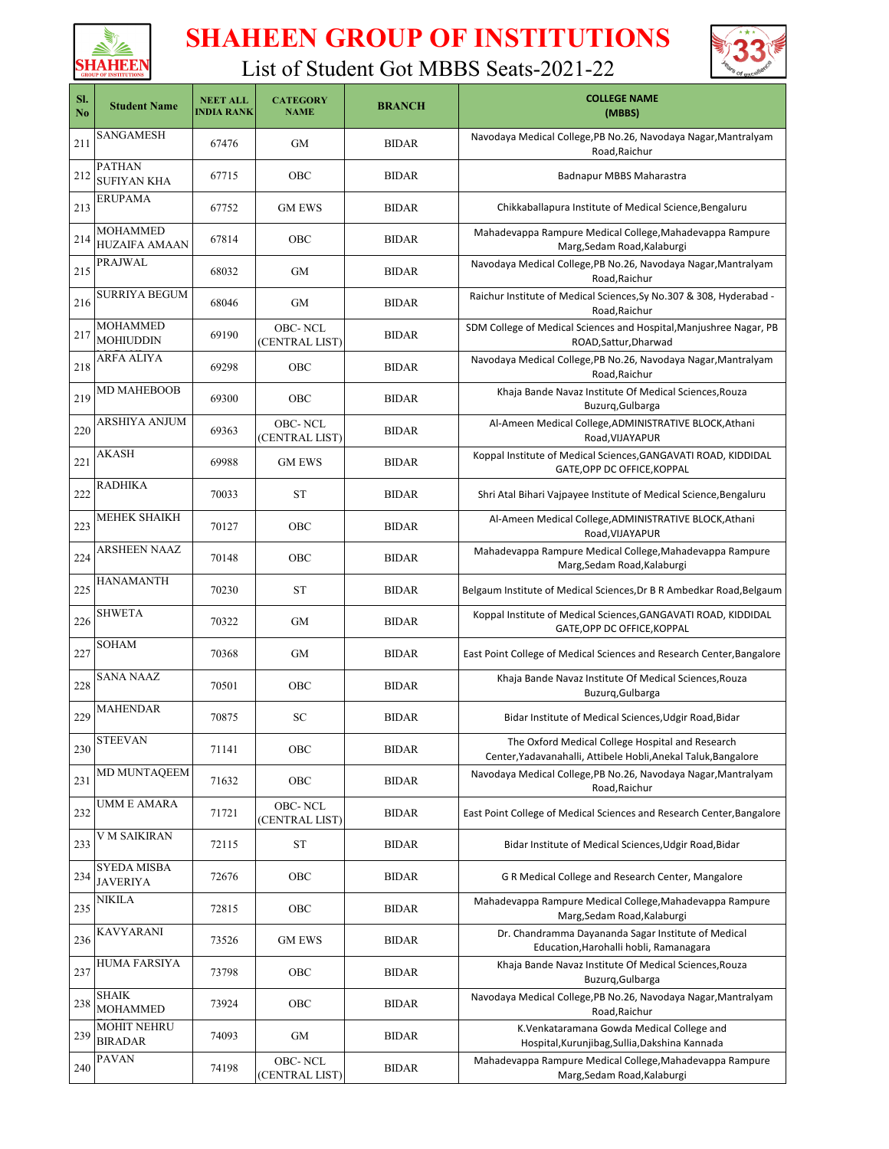



| SI.<br>N <sub>o</sub> | <b>Student Name</b>                     | <b>NEET ALL</b><br><b>INDIA RANK</b> | <b>CATEGORY</b><br><b>NAME</b>   | <b>BRANCH</b> | <b>COLLEGE NAME</b><br>(MBBS)                                                                                      |
|-----------------------|-----------------------------------------|--------------------------------------|----------------------------------|---------------|--------------------------------------------------------------------------------------------------------------------|
| 211                   | SANGAMESH                               | 67476                                | GM                               | <b>BIDAR</b>  | Navodaya Medical College, PB No.26, Navodaya Nagar, Mantralyam<br>Road, Raichur                                    |
| 212                   | <b>PATHAN</b><br><b>SUFIYAN KHA</b>     | 67715                                | OBC                              | <b>BIDAR</b>  | <b>Badnapur MBBS Maharastra</b>                                                                                    |
| 213                   | <b>ERUPAMA</b>                          | 67752                                | <b>GM EWS</b>                    | <b>BIDAR</b>  | Chikkaballapura Institute of Medical Science, Bengaluru                                                            |
| 214                   | <b>MOHAMMED</b><br><b>HUZAIFA AMAAN</b> | 67814                                | OBC                              | <b>BIDAR</b>  | Mahadevappa Rampure Medical College, Mahadevappa Rampure<br>Marg, Sedam Road, Kalaburgi                            |
| 215                   | <b>PRAJWAL</b>                          | 68032                                | GM                               | <b>BIDAR</b>  | Navodaya Medical College, PB No.26, Navodaya Nagar, Mantralyam<br>Road, Raichur                                    |
| 216                   | <b>SURRIYA BEGUM</b>                    | 68046                                | GM                               | <b>BIDAR</b>  | Raichur Institute of Medical Sciences, Sy No.307 & 308, Hyderabad -<br>Road, Raichur                               |
| 217                   | <b>MOHAMMED</b><br><b>MOHIUDDIN</b>     | 69190                                | <b>OBC-NCL</b><br>(CENTRAL LIST) | <b>BIDAR</b>  | SDM College of Medical Sciences and Hospital, Manjushree Nagar, PB<br>ROAD, Sattur, Dharwad                        |
| 218                   | ARFA ALIYA                              | 69298                                | OBC                              | <b>BIDAR</b>  | Navodaya Medical College, PB No.26, Navodaya Nagar, Mantralyam<br>Road, Raichur                                    |
| 219                   | <b>MD MAHEBOOB</b>                      | 69300                                | OBC                              | <b>BIDAR</b>  | Khaja Bande Navaz Institute Of Medical Sciences, Rouza<br>Buzurq, Gulbarga                                         |
| 220                   | ARSHIYA ANJUM                           | 69363                                | <b>OBC-NCL</b><br>(CENTRAL LIST) | <b>BIDAR</b>  | Al-Ameen Medical College, ADMINISTRATIVE BLOCK, Athani<br>Road, VIJAYAPUR                                          |
| 221                   | AKASH                                   | 69988                                | <b>GM EWS</b>                    | <b>BIDAR</b>  | Koppal Institute of Medical Sciences, GANGAVATI ROAD, KIDDIDAL<br>GATE, OPP DC OFFICE, KOPPAL                      |
| 222                   | <b>RADHIKA</b>                          | 70033                                | ST                               | <b>BIDAR</b>  | Shri Atal Bihari Vajpayee Institute of Medical Science, Bengaluru                                                  |
| 223                   | MEHEK SHAIKH                            | 70127                                | OBC                              | <b>BIDAR</b>  | Al-Ameen Medical College, ADMINISTRATIVE BLOCK, Athani<br>Road, VIJAYAPUR                                          |
| 224                   | ARSHEEN NAAZ                            | 70148                                | OBC                              | <b>BIDAR</b>  | Mahadevappa Rampure Medical College, Mahadevappa Rampure<br>Marg, Sedam Road, Kalaburgi                            |
| 225                   | <b>HANAMANTH</b>                        | 70230                                | ST                               | <b>BIDAR</b>  | Belgaum Institute of Medical Sciences, Dr B R Ambedkar Road, Belgaum                                               |
| 226                   | <b>SHWETA</b>                           | 70322                                | GM                               | <b>BIDAR</b>  | Koppal Institute of Medical Sciences, GANGAVATI ROAD, KIDDIDAL<br>GATE, OPP DC OFFICE, KOPPAL                      |
| 227                   | SOHAM                                   | 70368                                | GM                               | <b>BIDAR</b>  | East Point College of Medical Sciences and Research Center, Bangalore                                              |
| 228                   | <b>SANA NAAZ</b>                        | 70501                                | OBC                              | <b>BIDAR</b>  | Khaja Bande Navaz Institute Of Medical Sciences, Rouza<br>Buzurq, Gulbarga                                         |
| 229                   | <b>MAHENDAR</b>                         | 70875                                | SC                               | <b>BIDAR</b>  | Bidar Institute of Medical Sciences, Udgir Road, Bidar                                                             |
| 230                   | STEEVAN                                 | 71141                                | OBC                              | <b>BIDAR</b>  | The Oxford Medical College Hospital and Research<br>Center, Yadavanahalli, Attibele Hobli, Anekal Taluk, Bangalore |
| 231                   | <b>MD MUNTAQEEM</b>                     | 71632                                | OBC                              | <b>BIDAR</b>  | Navodaya Medical College, PB No.26, Navodaya Nagar, Mantralyam<br>Road, Raichur                                    |
| 232                   | <b>UMM E AMARA</b>                      | 71721                                | OBC-NCL<br>(CENTRAL LIST)        | <b>BIDAR</b>  | East Point College of Medical Sciences and Research Center, Bangalore                                              |
| 233                   | V M SAIKIRAN                            | 72115                                | ST                               | <b>BIDAR</b>  | Bidar Institute of Medical Sciences, Udgir Road, Bidar                                                             |
| 234                   | <b>SYEDA MISBA</b><br><b>JAVERIYA</b>   | 72676                                | OBC                              | <b>BIDAR</b>  | G R Medical College and Research Center, Mangalore                                                                 |
| 235                   | NIKILA                                  | 72815                                | OBC                              | <b>BIDAR</b>  | Mahadevappa Rampure Medical College, Mahadevappa Rampure<br>Marg, Sedam Road, Kalaburgi                            |
| 236                   | KAVYARANI                               | 73526                                | <b>GM EWS</b>                    | <b>BIDAR</b>  | Dr. Chandramma Dayananda Sagar Institute of Medical<br>Education, Harohalli hobli, Ramanagara                      |
| 237                   | HUMA FARSIYA                            | 73798                                | OBC                              | BIDAR         | Khaja Bande Navaz Institute Of Medical Sciences, Rouza<br>Buzurq, Gulbarga                                         |
| 238                   | <b>SHAIK</b><br><b>MOHAMMED</b>         | 73924                                | OBC                              | <b>BIDAR</b>  | Navodaya Medical College, PB No.26, Navodaya Nagar, Mantralyam<br>Road, Raichur                                    |
| 239                   | <b>MOHIT NEHRU</b><br><b>BIRADAR</b>    | 74093                                | GM                               | <b>BIDAR</b>  | K.Venkataramana Gowda Medical College and<br>Hospital, Kurunjibag, Sullia, Dakshina Kannada                        |
| 240                   | <b>PAVAN</b>                            | 74198                                | OBC-NCL<br>(CENTRAL LIST)        | BIDAR         | Mahadevappa Rampure Medical College, Mahadevappa Rampure<br>Marg, Sedam Road, Kalaburgi                            |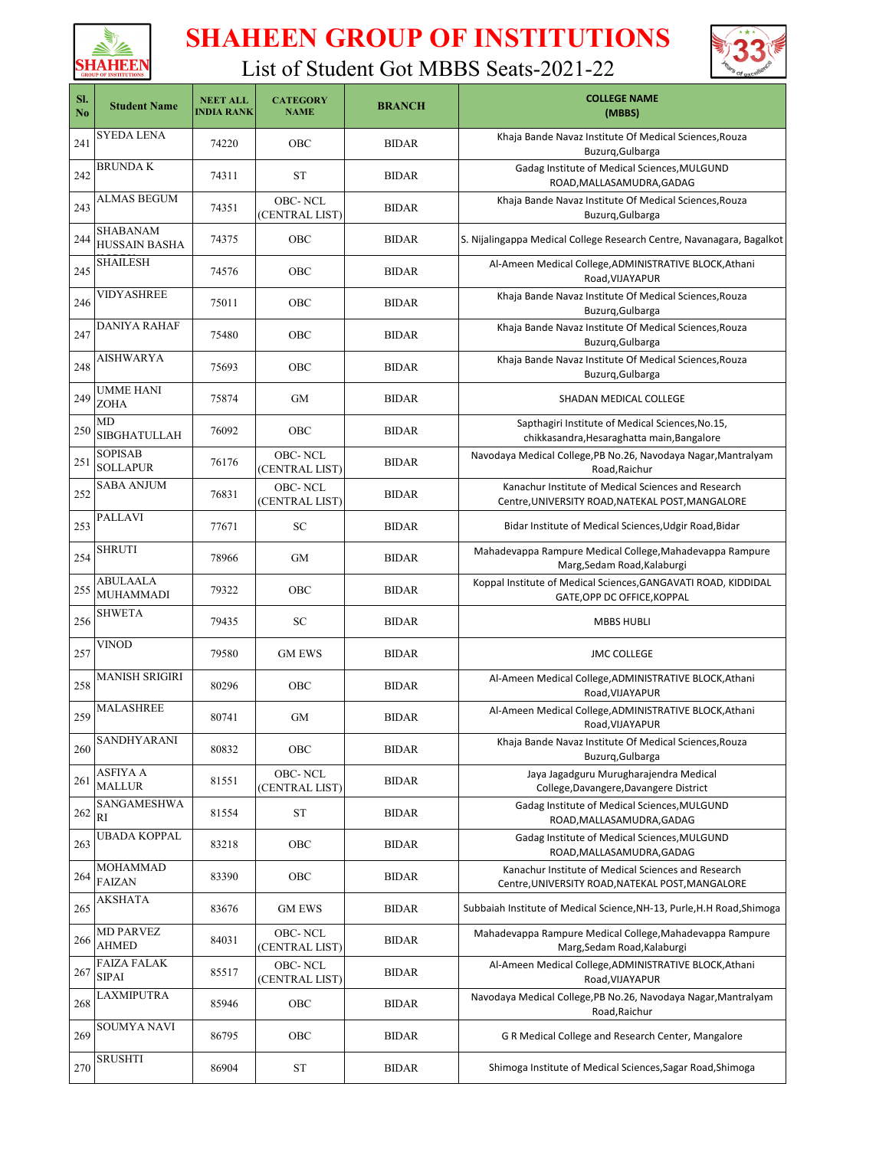



| SI.<br>No | <b>Student Name</b>                     | <b>NEET ALL</b><br><b>INDIA RANK</b> | <b>CATEGORY</b><br><b>NAME</b>   | <b>BRANCH</b> | <b>COLLEGE NAME</b><br>(MBBS)                                                                           |
|-----------|-----------------------------------------|--------------------------------------|----------------------------------|---------------|---------------------------------------------------------------------------------------------------------|
| 241       | SYEDA LENA                              | 74220                                | OBC                              | <b>BIDAR</b>  | Khaja Bande Navaz Institute Of Medical Sciences, Rouza<br>Buzurq, Gulbarga                              |
| 242       | <b>BRUNDAK</b>                          | 74311                                | <b>ST</b>                        | <b>BIDAR</b>  | Gadag Institute of Medical Sciences, MULGUND<br>ROAD, MALLASAMUDRA, GADAG                               |
| 243       | ALMAS BEGUM                             | 74351                                | <b>OBC-NCL</b><br>(CENTRAL LIST) | <b>BIDAR</b>  | Khaja Bande Navaz Institute Of Medical Sciences, Rouza<br>Buzurq, Gulbarga                              |
| 244       | <b>SHABANAM</b><br><b>HUSSAIN BASHA</b> | 74375                                | OBC                              | <b>BIDAR</b>  | S. Nijalingappa Medical College Research Centre, Navanagara, Bagalkot                                   |
| 245       | SHAILESH                                | 74576                                | OBC                              | <b>BIDAR</b>  | Al-Ameen Medical College, ADMINISTRATIVE BLOCK, Athani<br>Road, VIJAYAPUR                               |
| 246       | VIDYASHREE                              | 75011                                | OBC                              | <b>BIDAR</b>  | Khaja Bande Navaz Institute Of Medical Sciences, Rouza<br>Buzurq, Gulbarga                              |
| 247       | DANIYA RAHAF                            | 75480                                | OBC                              | <b>BIDAR</b>  | Khaja Bande Navaz Institute Of Medical Sciences, Rouza<br>Buzurq, Gulbarga                              |
| 248       | AISHWARYA                               | 75693                                | OBC                              | <b>BIDAR</b>  | Khaja Bande Navaz Institute Of Medical Sciences, Rouza<br>Buzurq, Gulbarga                              |
| 249       | <b>UMME HANI</b><br><b>ZOHA</b>         | 75874                                | GM                               | <b>BIDAR</b>  | SHADAN MEDICAL COLLEGE                                                                                  |
| 250       | <b>MD</b><br><b>SIBGHATULLAH</b>        | 76092                                | OBC                              | <b>BIDAR</b>  | Sapthagiri Institute of Medical Sciences, No.15,<br>chikkasandra, Hesaraghatta main, Bangalore          |
| 251       | <b>SOPISAB</b><br><b>SOLLAPUR</b>       | 76176                                | OBC-NCL<br>(CENTRAL LIST)        | <b>BIDAR</b>  | Navodaya Medical College, PB No.26, Navodaya Nagar, Mantralyam<br>Road, Raichur                         |
| 252       | SABA ANJUM                              | 76831                                | <b>OBC-NCL</b><br>(CENTRAL LIST) | <b>BIDAR</b>  | Kanachur Institute of Medical Sciences and Research<br>Centre, UNIVERSITY ROAD, NATEKAL POST, MANGALORE |
| 253       | <b>PALLAVI</b>                          | 77671                                | SC                               | <b>BIDAR</b>  | Bidar Institute of Medical Sciences, Udgir Road, Bidar                                                  |
| 254       | SHRUTI                                  | 78966                                | GM                               | <b>BIDAR</b>  | Mahadevappa Rampure Medical College, Mahadevappa Rampure<br>Marg, Sedam Road, Kalaburgi                 |
| 255       | ABULAALA<br><b>MUHAMMADI</b>            | 79322                                | OBC                              | <b>BIDAR</b>  | Koppal Institute of Medical Sciences, GANGAVATI ROAD, KIDDIDAL<br>GATE, OPP DC OFFICE, KOPPAL           |
| 256       | <b>SHWETA</b>                           | 79435                                | SC                               | <b>BIDAR</b>  | <b>MBBS HUBLI</b>                                                                                       |
| 257       | VINOD                                   | 79580                                | <b>GM EWS</b>                    | <b>BIDAR</b>  | <b>JMC COLLEGE</b>                                                                                      |
| 258       | <b>MANISH SRIGIRI</b>                   | 80296                                | OBC                              | <b>BIDAR</b>  | Al-Ameen Medical College, ADMINISTRATIVE BLOCK, Athani<br>Road, VIJAYAPUR                               |
| 259       | <b>MALASHREE</b>                        | 80741                                | GM                               | <b>BIDAR</b>  | Al-Ameen Medical College, ADMINISTRATIVE BLOCK, Athani<br>Road, VIJAYAPUR                               |
| 260       | SANDHYARANI                             | 80832                                | OBC                              | <b>BIDAR</b>  | Khaja Bande Navaz Institute Of Medical Sciences, Rouza<br>Buzurq, Gulbarga                              |
| 261       | ASFIYA A<br><b>MALLUR</b>               | 81551                                | OBC-NCL<br>(CENTRAL LIST)        | BIDAR         | Jaya Jagadguru Murugharajendra Medical<br>College, Davangere, Davangere District                        |
| 262       | SANGAMESHWA<br>RI                       | 81554                                | ST                               | <b>BIDAR</b>  | Gadag Institute of Medical Sciences, MULGUND<br>ROAD, MALLASAMUDRA, GADAG                               |
| 263       | UBADA KOPPAL                            | 83218                                | OBC                              | <b>BIDAR</b>  | Gadag Institute of Medical Sciences, MULGUND<br>ROAD, MALLASAMUDRA, GADAG                               |
| 264       | <b>MOHAMMAD</b><br><b>FAIZAN</b>        | 83390                                | OBC                              | BIDAR         | Kanachur Institute of Medical Sciences and Research<br>Centre, UNIVERSITY ROAD, NATEKAL POST, MANGALORE |
| 265       | AKSHATA                                 | 83676                                | <b>GM EWS</b>                    | <b>BIDAR</b>  | Subbaiah Institute of Medical Science, NH-13, Purle, H.H Road, Shimoga                                  |
| 266       | <b>MD PARVEZ</b><br><b>AHMED</b>        | 84031                                | <b>OBC-NCL</b><br>(CENTRAL LIST) | <b>BIDAR</b>  | Mahadevappa Rampure Medical College, Mahadevappa Rampure<br>Marg, Sedam Road, Kalaburgi                 |
| 267       | <b>FAIZA FALAK</b><br>SIPAI             | 85517                                | OBC-NCL<br>(CENTRAL LIST)        | <b>BIDAR</b>  | Al-Ameen Medical College, ADMINISTRATIVE BLOCK, Athani<br>Road, VIJAYAPUR                               |
| 268       | LAXMIPUTRA                              | 85946                                | OBC                              | <b>BIDAR</b>  | Navodaya Medical College, PB No.26, Navodaya Nagar, Mantralyam<br>Road, Raichur                         |
| 269       | SOUMYA NAVI                             | 86795                                | OBC                              | <b>BIDAR</b>  | G R Medical College and Research Center, Mangalore                                                      |
| 270       | <b>SRUSHTI</b>                          | 86904                                | <b>ST</b>                        | <b>BIDAR</b>  | Shimoga Institute of Medical Sciences, Sagar Road, Shimoga                                              |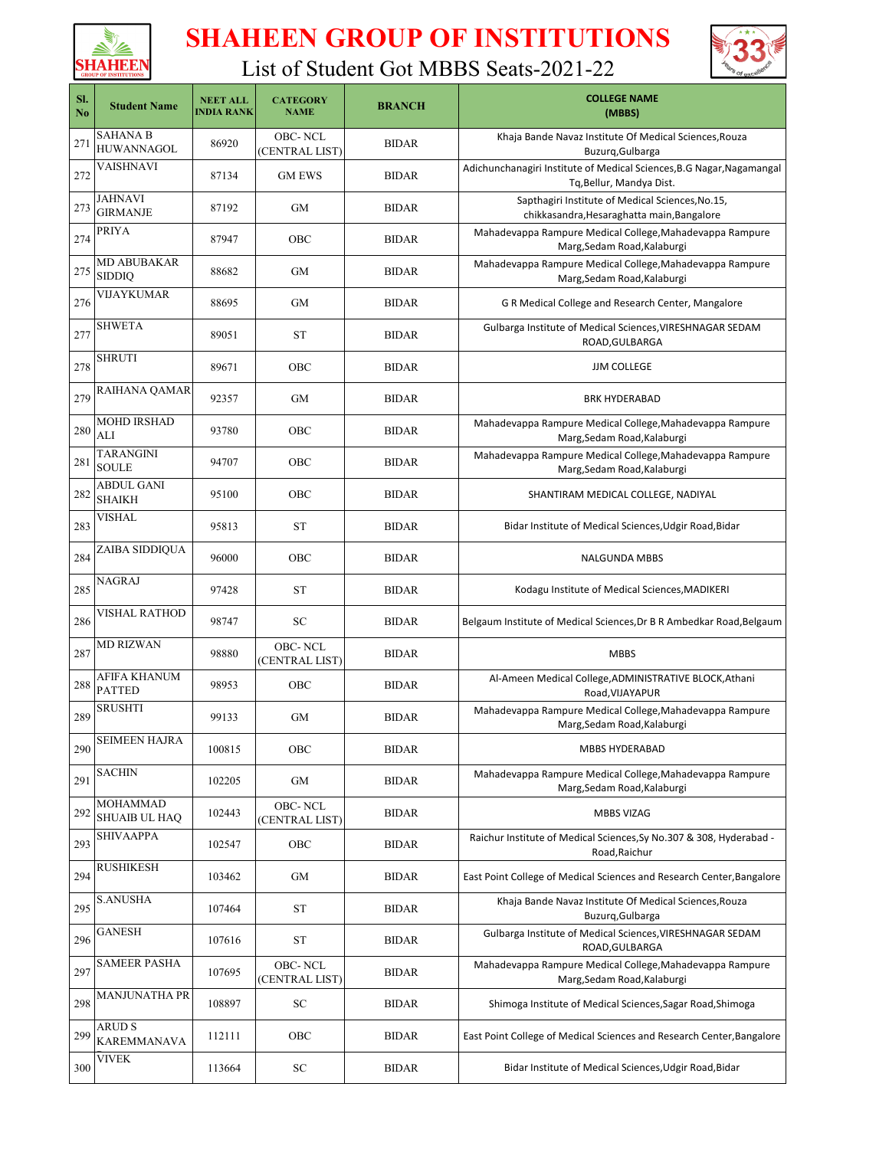



| SI.<br>N <sub>0</sub> | <b>Student Name</b>                  | <b>NEET ALL</b><br><b>INDIA RANK</b> | <b>CATEGORY</b><br><b>NAME</b>   | <b>BRANCH</b> | <b>COLLEGE NAME</b><br>(MBBS)                                                                     |
|-----------------------|--------------------------------------|--------------------------------------|----------------------------------|---------------|---------------------------------------------------------------------------------------------------|
| 271                   | <b>SAHANA B</b><br><b>HUWANNAGOL</b> | 86920                                | <b>OBC-NCL</b><br>(CENTRAL LIST) | <b>BIDAR</b>  | Khaja Bande Navaz Institute Of Medical Sciences, Rouza<br>Buzurq, Gulbarga                        |
| 272                   | VAISHNAVI                            | 87134                                | <b>GM EWS</b>                    | <b>BIDAR</b>  | Adichunchanagiri Institute of Medical Sciences, B.G Nagar, Nagamangal<br>Tq, Bellur, Mandya Dist. |
| 273                   | JAHNAVI<br><b>GIRMANJE</b>           | 87192                                | <b>GM</b>                        | <b>BIDAR</b>  | Sapthagiri Institute of Medical Sciences, No.15,<br>chikkasandra, Hesaraghatta main, Bangalore    |
| 274                   | PRIYA                                | 87947                                | OBC                              | <b>BIDAR</b>  | Mahadevappa Rampure Medical College, Mahadevappa Rampure<br>Marg, Sedam Road, Kalaburgi           |
| 275                   | <b>MD ABUBAKAR</b><br><b>SIDDIQ</b>  | 88682                                | GM                               | <b>BIDAR</b>  | Mahadevappa Rampure Medical College, Mahadevappa Rampure<br>Marg, Sedam Road, Kalaburgi           |
| 276                   | VIJAYKUMAR                           | 88695                                | <b>GM</b>                        | <b>BIDAR</b>  | G R Medical College and Research Center, Mangalore                                                |
| 277                   | <b>SHWETA</b>                        | 89051                                | ST                               | <b>BIDAR</b>  | Gulbarga Institute of Medical Sciences, VIRESHNAGAR SEDAM<br>ROAD, GULBARGA                       |
| 278                   | SHRUTI                               | 89671                                | OBC                              | <b>BIDAR</b>  | <b>JJM COLLEGE</b>                                                                                |
| 279                   | RAIHANA QAMAR                        | 92357                                | <b>GM</b>                        | <b>BIDAR</b>  | <b>BRK HYDERABAD</b>                                                                              |
| 280                   | <b>MOHD IRSHAD</b><br>ALI            | 93780                                | OBC                              | <b>BIDAR</b>  | Mahadevappa Rampure Medical College, Mahadevappa Rampure<br>Marg, Sedam Road, Kalaburgi           |
| 281                   | <b>TARANGINI</b><br><b>SOULE</b>     | 94707                                | OBC                              | <b>BIDAR</b>  | Mahadevappa Rampure Medical College, Mahadevappa Rampure<br>Marg, Sedam Road, Kalaburgi           |
| 282                   | <b>ABDUL GANI</b><br><b>SHAIKH</b>   | 95100                                | OBC                              | <b>BIDAR</b>  | SHANTIRAM MEDICAL COLLEGE, NADIYAL                                                                |
| 283                   | VISHAL                               | 95813                                | <b>ST</b>                        | <b>BIDAR</b>  | Bidar Institute of Medical Sciences, Udgir Road, Bidar                                            |
| 284                   | ZAIBA SIDDIQUA                       | 96000                                | OBC                              | <b>BIDAR</b>  | <b>NALGUNDA MBBS</b>                                                                              |
| 285                   | NAGRAJ                               | 97428                                | ST                               | <b>BIDAR</b>  | Kodagu Institute of Medical Sciences, MADIKERI                                                    |
| 286                   | VISHAL RATHOD                        | 98747                                | SC                               | <b>BIDAR</b>  | Belgaum Institute of Medical Sciences, Dr B R Ambedkar Road, Belgaum                              |
| 287                   | <b>MD RIZWAN</b>                     | 98880                                | OBC-NCL<br>(CENTRAL LIST)        | <b>BIDAR</b>  | <b>MBBS</b>                                                                                       |
| 288                   | AFIFA KHANUM<br><b>PATTED</b>        | 98953                                | OBC                              | <b>BIDAR</b>  | Al-Ameen Medical College, ADMINISTRATIVE BLOCK, Athani<br>Road, VIJAYAPUR                         |
| 289                   | <b>SRUSHTI</b>                       | 99133                                | GМ                               | <b>BIDAR</b>  | Mahadevappa Rampure Medical College, Mahadevappa Rampure<br>Marg, Sedam Road, Kalaburgi           |
| 290                   | SEIMEEN HAJRA                        | 100815                               | OBC                              | <b>BIDAR</b>  | <b>MBBS HYDERABAD</b>                                                                             |
| 291                   | SACHIN                               | 102205                               | GM                               | <b>BIDAR</b>  | Mahadevappa Rampure Medical College, Mahadevappa Rampure<br>Marg, Sedam Road, Kalaburgi           |
| 292                   | MOHAMMAD<br><b>SHUAIB UL HAQ</b>     | 102443                               | <b>OBC-NCL</b><br>(CENTRAL LIST) | <b>BIDAR</b>  | <b>MBBS VIZAG</b>                                                                                 |
| 293                   | SHIVAAPPA                            | 102547                               | OBC                              | <b>BIDAR</b>  | Raichur Institute of Medical Sciences, Sy No.307 & 308, Hyderabad -<br>Road, Raichur              |
| 294                   | <b>RUSHIKESH</b>                     | 103462                               | GM                               | <b>BIDAR</b>  | East Point College of Medical Sciences and Research Center, Bangalore                             |
| 295                   | <b>S.ANUSHA</b>                      | 107464                               | ST                               | <b>BIDAR</b>  | Khaja Bande Navaz Institute Of Medical Sciences, Rouza<br>Buzurq, Gulbarga                        |
| 296                   | GANESH                               | 107616                               | <b>ST</b>                        | <b>BIDAR</b>  | Gulbarga Institute of Medical Sciences, VIRESHNAGAR SEDAM<br>ROAD, GULBARGA                       |
| 297                   | <b>SAMEER PASHA</b>                  | 107695                               | OBC-NCL<br>(CENTRAL LIST)        | <b>BIDAR</b>  | Mahadevappa Rampure Medical College, Mahadevappa Rampure<br>Marg, Sedam Road, Kalaburgi           |
| 298                   | MANJUNATHA PR                        | 108897                               | ${\rm SC}$                       | <b>BIDAR</b>  | Shimoga Institute of Medical Sciences, Sagar Road, Shimoga                                        |
| 299                   | ARUD S<br><b>KAREMMANAVA</b>         | 112111                               | OBC                              | <b>BIDAR</b>  | East Point College of Medical Sciences and Research Center, Bangalore                             |
| 300                   | <b>VIVEK</b>                         | 113664                               | SC                               | <b>BIDAR</b>  | Bidar Institute of Medical Sciences, Udgir Road, Bidar                                            |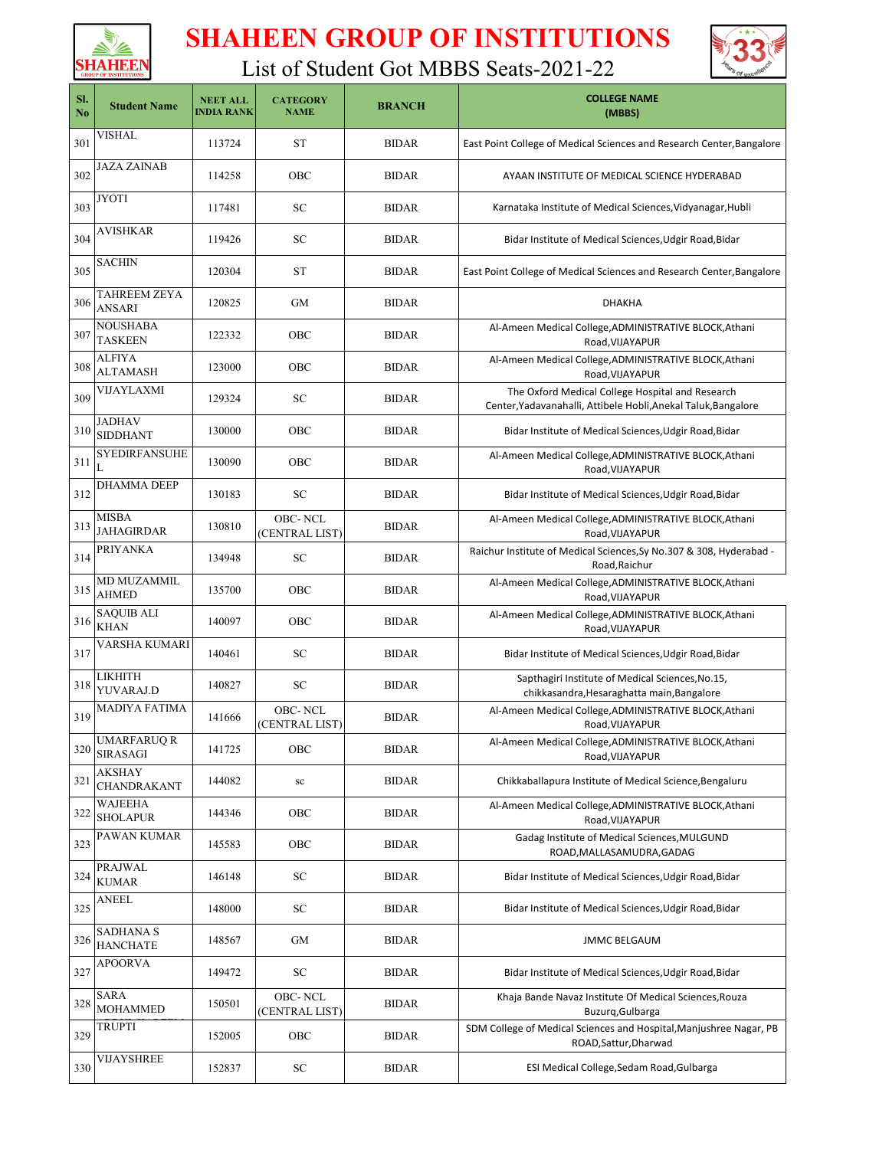



| SI.<br>No | <b>Student Name</b>                   | <b>NEET ALL</b><br><b>INDIA RANK</b> | <b>CATEGORY</b><br><b>NAME</b> | <b>BRANCH</b> | <b>COLLEGE NAME</b><br>(MBBS)                                                                                      |
|-----------|---------------------------------------|--------------------------------------|--------------------------------|---------------|--------------------------------------------------------------------------------------------------------------------|
| 301       | VISHAL                                | 113724                               | <b>ST</b>                      | <b>BIDAR</b>  | East Point College of Medical Sciences and Research Center, Bangalore                                              |
| 302       | <b>JAZA ZAINAB</b>                    | 114258                               | OBC                            | <b>BIDAR</b>  | AYAAN INSTITUTE OF MEDICAL SCIENCE HYDERABAD                                                                       |
| 303       | JYOTI                                 | 117481                               | SC                             | <b>BIDAR</b>  | Karnataka Institute of Medical Sciences, Vidyanagar, Hubli                                                         |
| 304       | <b>AVISHKAR</b>                       | 119426                               | SC                             | <b>BIDAR</b>  | Bidar Institute of Medical Sciences, Udgir Road, Bidar                                                             |
| 305       | <b>SACHIN</b>                         | 120304                               | <b>ST</b>                      | <b>BIDAR</b>  | East Point College of Medical Sciences and Research Center, Bangalore                                              |
| 306       | TAHREEM ZEYA<br><b>ANSARI</b>         | 120825                               | GМ                             | <b>BIDAR</b>  | <b>DHAKHA</b>                                                                                                      |
| 307       | NOUSHABA<br><b>TASKEEN</b>            | 122332                               | <b>OBC</b>                     | <b>BIDAR</b>  | Al-Ameen Medical College, ADMINISTRATIVE BLOCK, Athani<br>Road, VIJAYAPUR                                          |
| 308       | ALFIYA<br><b>ALTAMASH</b>             | 123000                               | OBC                            | <b>BIDAR</b>  | Al-Ameen Medical College, ADMINISTRATIVE BLOCK, Athani<br>Road, VIJAYAPUR                                          |
| 309       | VIJAYLAXMI                            | 129324                               | SC                             | <b>BIDAR</b>  | The Oxford Medical College Hospital and Research<br>Center, Yadavanahalli, Attibele Hobli, Anekal Taluk, Bangalore |
| 310       | JADHAV<br><b>SIDDHANT</b>             | 130000                               | OBC                            | <b>BIDAR</b>  | Bidar Institute of Medical Sciences, Udgir Road, Bidar                                                             |
| 311       | <b>SYEDIRFANSUHE</b><br>L             | 130090                               | OBC                            | <b>BIDAR</b>  | Al-Ameen Medical College, ADMINISTRATIVE BLOCK, Athani<br>Road, VIJAYAPUR                                          |
| 312       | <b>DHAMMA DEEP</b>                    | 130183                               | SC                             | <b>BIDAR</b>  | Bidar Institute of Medical Sciences, Udgir Road, Bidar                                                             |
| 313       | <b>MISBA</b><br><b>JAHAGIRDAR</b>     | 130810                               | OBC-NCL<br>(CENTRAL LIST)      | <b>BIDAR</b>  | Al-Ameen Medical College, ADMINISTRATIVE BLOCK, Athani<br>Road, VIJAYAPUR                                          |
| 314       | PRIYANKA                              | 134948                               | SC                             | <b>BIDAR</b>  | Raichur Institute of Medical Sciences, Sy No.307 & 308, Hyderabad -<br>Road, Raichur                               |
| 315       | MD MUZAMMIL<br><b>AHMED</b>           | 135700                               | OBC                            | <b>BIDAR</b>  | Al-Ameen Medical College, ADMINISTRATIVE BLOCK, Athani<br>Road, VIJAYAPUR                                          |
| 316       | <b>SAQUIB ALI</b><br><b>KHAN</b>      | 140097                               | OBC                            | <b>BIDAR</b>  | Al-Ameen Medical College, ADMINISTRATIVE BLOCK, Athani<br>Road,VIJAYAPUR                                           |
| 317       | VARSHA KUMARI                         | 140461                               | SC                             | <b>BIDAR</b>  | Bidar Institute of Medical Sciences, Udgir Road, Bidar                                                             |
| 318       | LIKHITH<br>YUVARAJ.D                  | 140827                               | SC                             | <b>BIDAR</b>  | Sapthagiri Institute of Medical Sciences, No.15,<br>chikkasandra, Hesaraghatta main, Bangalore                     |
| 319       | <b>MADIYA FATIMA</b>                  | 141666                               | OBC-NCL<br>(CENTRAL LIST)      | <b>BIDAR</b>  | Al-Ameen Medical College, ADMINISTRATIVE BLOCK, Athani<br>Road, VIJAYAPUR                                          |
| 320       | <b>UMARFARUQ R</b><br><b>SIRASAGI</b> | 141725                               | OBC                            | <b>BIDAR</b>  | Al-Ameen Medical College, ADMINISTRATIVE BLOCK, Athani<br>Road, VIJAYAPUR                                          |
| 321       | <b>AKSHAY</b><br>CHANDRAKANT          | 144082                               | ${\bf sc}$                     | <b>BIDAR</b>  | Chikkaballapura Institute of Medical Science, Bengaluru                                                            |
| 322       | WAJEEHA<br><b>SHOLAPUR</b>            | 144346                               | OBC                            | <b>BIDAR</b>  | Al-Ameen Medical College, ADMINISTRATIVE BLOCK, Athani<br>Road, VIJAYAPUR                                          |
| 323       | PAWAN KUMAR                           | 145583                               | OBC                            | <b>BIDAR</b>  | Gadag Institute of Medical Sciences, MULGUND<br>ROAD, MALLASAMUDRA, GADAG                                          |
| 324       | PRAJWAL<br><b>KUMAR</b>               | 146148                               | SC                             | <b>BIDAR</b>  | Bidar Institute of Medical Sciences, Udgir Road, Bidar                                                             |
| 325       | ANEEL                                 | 148000                               | SC                             | <b>BIDAR</b>  | Bidar Institute of Medical Sciences, Udgir Road, Bidar                                                             |
| 326       | <b>SADHANA S</b><br><b>HANCHATE</b>   | 148567                               | GM                             | <b>BIDAR</b>  | <b>JMMC BELGAUM</b>                                                                                                |
| 327       | <b>APOORVA</b>                        | 149472                               | SC                             | <b>BIDAR</b>  | Bidar Institute of Medical Sciences, Udgir Road, Bidar                                                             |
| 328       | SARA<br><b>MOHAMMED</b>               | 150501                               | OBC-NCL<br>(CENTRAL LIST)      | <b>BIDAR</b>  | Khaja Bande Navaz Institute Of Medical Sciences, Rouza<br>Buzurq, Gulbarga                                         |
| 329       | TRUPTI                                | 152005                               | OBC                            | <b>BIDAR</b>  | SDM College of Medical Sciences and Hospital, Manjushree Nagar, PB<br>ROAD, Sattur, Dharwad                        |
| 330       | <b>VIJAYSHREE</b>                     | 152837                               | ${\rm SC}$                     | <b>BIDAR</b>  | ESI Medical College, Sedam Road, Gulbarga                                                                          |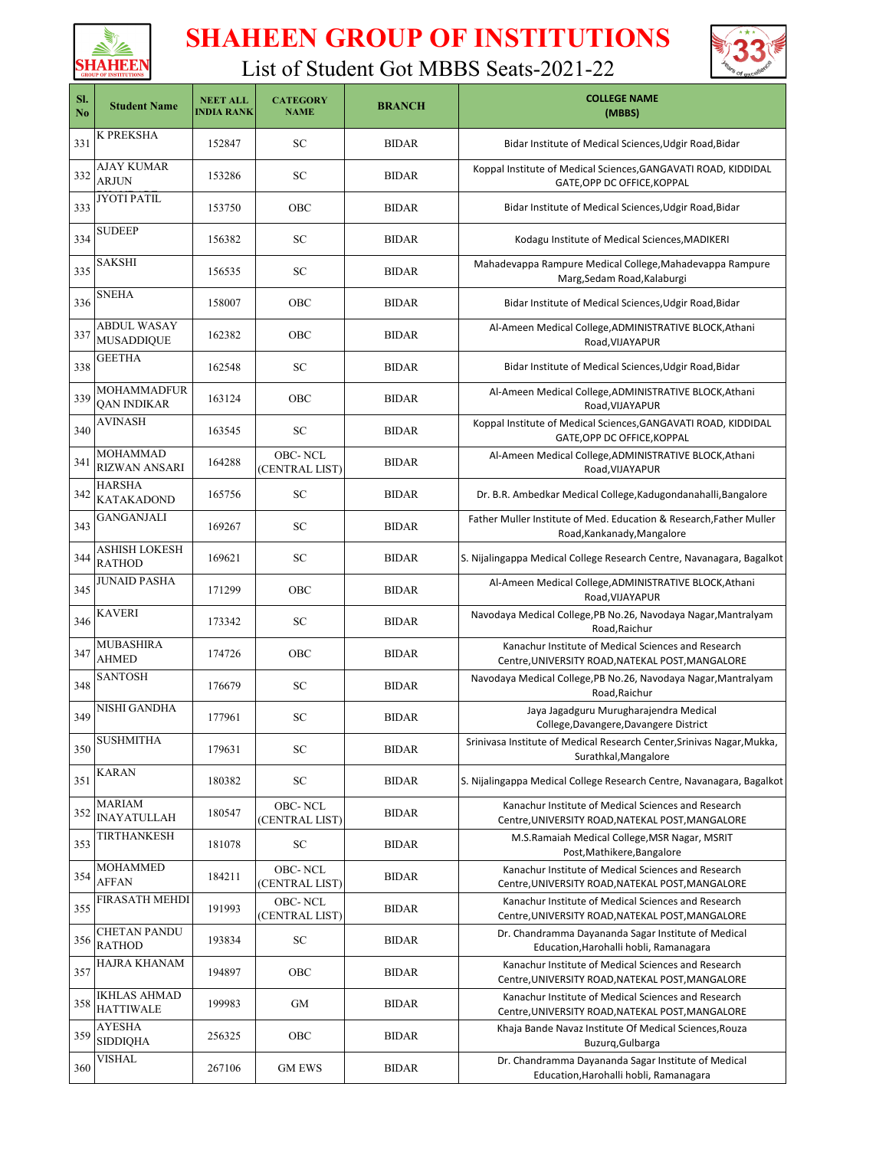



| SI.<br>N <sub>0</sub> | <b>Student Name</b>                      | <b>NEET ALL</b><br><b>INDIA RANK</b> | <b>CATEGORY</b><br><b>NAME</b>  | <b>BRANCH</b> | <b>COLLEGE NAME</b><br>(MBBS)                                                                           |
|-----------------------|------------------------------------------|--------------------------------------|---------------------------------|---------------|---------------------------------------------------------------------------------------------------------|
| 331                   | K PREKSHA                                | 152847                               | SC                              | <b>BIDAR</b>  | Bidar Institute of Medical Sciences, Udgir Road, Bidar                                                  |
| 332                   | AJAY KUMAR<br>ARJUN                      | 153286                               | SC                              | <b>BIDAR</b>  | Koppal Institute of Medical Sciences, GANGAVATI ROAD, KIDDIDAL<br>GATE, OPP DC OFFICE, KOPPAL           |
| 333                   | <b>JYOTI PATIL</b>                       | 153750                               | OBC                             | <b>BIDAR</b>  | Bidar Institute of Medical Sciences, Udgir Road, Bidar                                                  |
| 334                   | <b>SUDEEP</b>                            | 156382                               | <b>SC</b>                       | <b>BIDAR</b>  | Kodagu Institute of Medical Sciences, MADIKERI                                                          |
| 335                   | SAKSHI                                   | 156535                               | SC                              | <b>BIDAR</b>  | Mahadevappa Rampure Medical College, Mahadevappa Rampure<br>Marg, Sedam Road, Kalaburgi                 |
| 336                   | <b>SNEHA</b>                             | 158007                               | <b>OBC</b>                      | <b>BIDAR</b>  | Bidar Institute of Medical Sciences, Udgir Road, Bidar                                                  |
| 337                   | <b>ABDUL WASAY</b><br><b>MUSADDIQUE</b>  | 162382                               | <b>OBC</b>                      | <b>BIDAR</b>  | Al-Ameen Medical College, ADMINISTRATIVE BLOCK, Athani<br>Road, VIJAYAPUR                               |
| 338                   | GEETHA                                   | 162548                               | SC                              | <b>BIDAR</b>  | Bidar Institute of Medical Sciences, Udgir Road, Bidar                                                  |
| 339                   | <b>MOHAMMADFUR</b><br><b>QAN INDIKAR</b> | 163124                               | <b>OBC</b>                      | <b>BIDAR</b>  | Al-Ameen Medical College, ADMINISTRATIVE BLOCK, Athani<br>Road, VIJAYAPUR                               |
| 340                   | <b>AVINASH</b>                           | 163545                               | SC                              | <b>BIDAR</b>  | Koppal Institute of Medical Sciences, GANGAVATI ROAD, KIDDIDAL<br>GATE, OPP DC OFFICE, KOPPAL           |
| 341                   | MOHAMMAD<br><b>RIZWAN ANSARI</b>         | 164288                               | OBC-NCL<br>(CENTRAL LIST)       | <b>BIDAR</b>  | Al-Ameen Medical College, ADMINISTRATIVE BLOCK, Athani<br>Road, VIJAYAPUR                               |
| 342                   | <b>HARSHA</b><br><b>KATAKADOND</b>       | 165756                               | SC                              | <b>BIDAR</b>  | Dr. B.R. Ambedkar Medical College, Kadugondanahalli, Bangalore                                          |
| 343                   | <b>GANGANJALI</b>                        | 169267                               | SC                              | <b>BIDAR</b>  | Father Muller Institute of Med. Education & Research, Father Muller<br>Road, Kankanady, Mangalore       |
| 344                   | ASHISH LOKESH<br><b>RATHOD</b>           | 169621                               | SC                              | <b>BIDAR</b>  | S. Nijalingappa Medical College Research Centre, Navanagara, Bagalkot                                   |
| 345                   | <b>JUNAID PASHA</b>                      | 171299                               | <b>OBC</b>                      | <b>BIDAR</b>  | Al-Ameen Medical College, ADMINISTRATIVE BLOCK, Athani<br>Road, VIJAYAPUR                               |
| 346                   | KAVERI                                   | 173342                               | SC                              | <b>BIDAR</b>  | Navodaya Medical College, PB No.26, Navodaya Nagar, Mantralyam<br>Road, Raichur                         |
| 347                   | MUBASHIRA<br><b>AHMED</b>                | 174726                               | OBC                             | <b>BIDAR</b>  | Kanachur Institute of Medical Sciences and Research<br>Centre, UNIVERSITY ROAD, NATEKAL POST, MANGALORE |
| 348                   | <b>SANTOSH</b>                           | 176679                               | SC                              | <b>BIDAR</b>  | Navodaya Medical College, PB No.26, Navodaya Nagar, Mantralyam<br>Road, Raichur                         |
| 349                   | NISHI GANDHA                             | 177961                               | SC                              | <b>BIDAR</b>  | Jaya Jagadguru Murugharajendra Medical<br>College, Davangere, Davangere District                        |
| 350                   | SUSHMITHA                                | 179631                               | ${\rm SC}$                      | <b>BIDAR</b>  | Srinivasa Institute of Medical Research Center, Srinivas Nagar, Mukka,<br>Surathkal, Mangalore          |
| 351                   | <b>KARAN</b>                             | 180382                               | ${\rm SC}$                      | <b>BIDAR</b>  | S. Nijalingappa Medical College Research Centre, Navanagara, Bagalkot                                   |
| 352                   | MARIAM<br><b>INAYATULLAH</b>             | 180547                               | OBC-NCL<br>(CENTRAL LIST)       | <b>BIDAR</b>  | Kanachur Institute of Medical Sciences and Research<br>Centre, UNIVERSITY ROAD, NATEKAL POST, MANGALORE |
| 353                   | TIRTHANKESH                              | 181078                               | ${\rm SC}$                      | <b>BIDAR</b>  | M.S.Ramaiah Medical College, MSR Nagar, MSRIT<br>Post, Mathikere, Bangalore                             |
| 354                   | <b>MOHAMMED</b><br><b>AFFAN</b>          | 184211                               | OBC-NCL<br>(CENTRAL LIST)       | <b>BIDAR</b>  | Kanachur Institute of Medical Sciences and Research<br>Centre, UNIVERSITY ROAD, NATEKAL POST, MANGALORE |
| 355                   | FIRASATH MEHDI                           | 191993                               | OBC-NCL<br><b>CENTRAL LIST)</b> | <b>BIDAR</b>  | Kanachur Institute of Medical Sciences and Research<br>Centre, UNIVERSITY ROAD, NATEKAL POST, MANGALORE |
| 356                   | <b>CHETAN PANDU</b><br><b>RATHOD</b>     | 193834                               | ${\rm SC}$                      | <b>BIDAR</b>  | Dr. Chandramma Dayananda Sagar Institute of Medical<br>Education, Harohalli hobli, Ramanagara           |
| 357                   | HAJRA KHANAM                             | 194897                               | OBC                             | <b>BIDAR</b>  | Kanachur Institute of Medical Sciences and Research<br>Centre, UNIVERSITY ROAD, NATEKAL POST, MANGALORE |
| 358                   | <b>IKHLAS AHMAD</b><br><b>HATTIWALE</b>  | 199983                               | GM                              | <b>BIDAR</b>  | Kanachur Institute of Medical Sciences and Research<br>Centre, UNIVERSITY ROAD, NATEKAL POST, MANGALORE |
| 359                   | AYESHA<br><b>SIDDIQHA</b>                | 256325                               | OBC                             | <b>BIDAR</b>  | Khaja Bande Navaz Institute Of Medical Sciences, Rouza<br>Buzurq, Gulbarga                              |
| 360                   | <b>VISHAL</b>                            | 267106                               | <b>GM EWS</b>                   | <b>BIDAR</b>  | Dr. Chandramma Dayananda Sagar Institute of Medical<br>Education, Harohalli hobli, Ramanagara           |